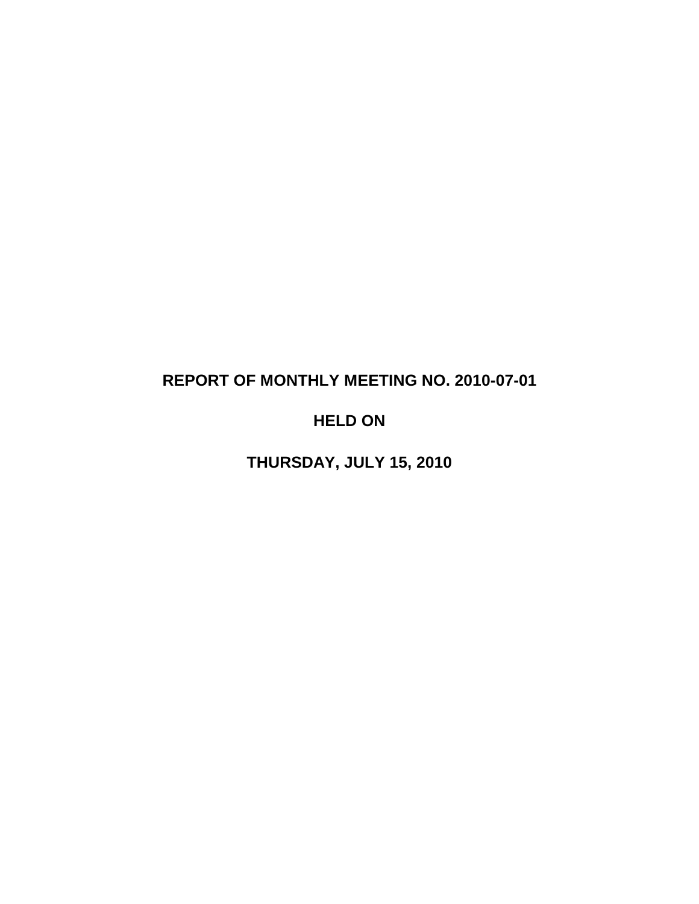# **REPORT OF MONTHLY MEETING NO. 2010-07-01**

# **HELD ON**

**THURSDAY, JULY 15, 2010**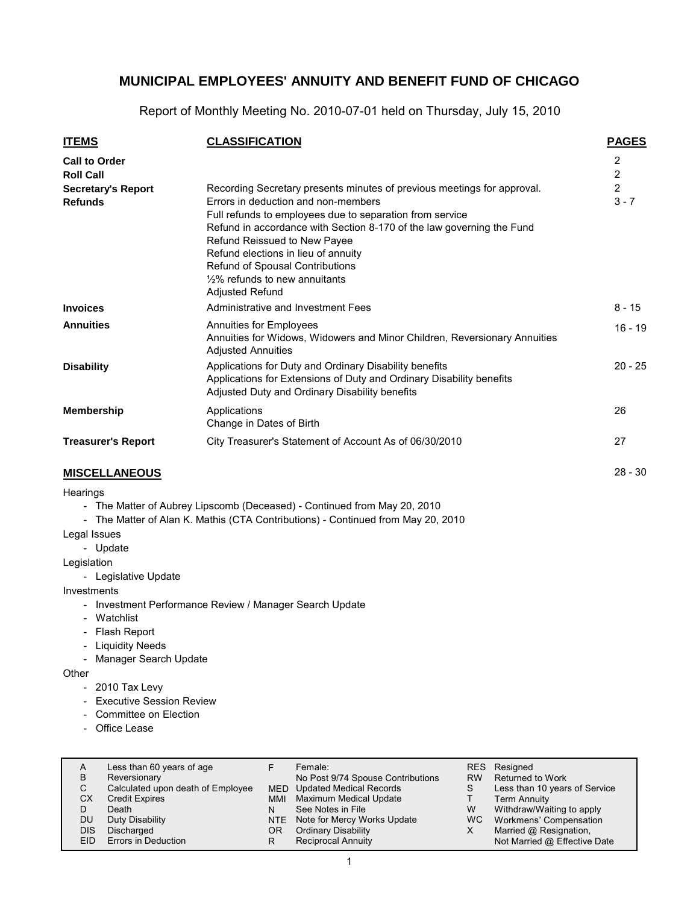Report of Monthly Meeting No. 2010-07-01 held on Thursday, July 15, 2010

| <b>ITEMS</b>                                | <b>CLASSIFICATION</b>                                                                                                                                                                                                                                                                                                                                                                                                 | <b>PAGES</b>                 |
|---------------------------------------------|-----------------------------------------------------------------------------------------------------------------------------------------------------------------------------------------------------------------------------------------------------------------------------------------------------------------------------------------------------------------------------------------------------------------------|------------------------------|
| <b>Call to Order</b><br><b>Roll Call</b>    |                                                                                                                                                                                                                                                                                                                                                                                                                       | 2<br>$\overline{\mathbf{c}}$ |
| <b>Secretary's Report</b><br><b>Refunds</b> | Recording Secretary presents minutes of previous meetings for approval.<br>Errors in deduction and non-members<br>Full refunds to employees due to separation from service<br>Refund in accordance with Section 8-170 of the law governing the Fund<br>Refund Reissued to New Payee<br>Refund elections in lieu of annuity<br>Refund of Spousal Contributions<br>$1/2\%$ refunds to new annuitants<br>Adjusted Refund | $\overline{2}$<br>$3 - 7$    |
| <b>Invoices</b>                             | Administrative and Investment Fees                                                                                                                                                                                                                                                                                                                                                                                    | $8 - 15$                     |
| <b>Annuities</b>                            | Annuities for Employees<br>Annuities for Widows, Widowers and Minor Children, Reversionary Annuities<br><b>Adjusted Annuities</b>                                                                                                                                                                                                                                                                                     | $16 - 19$                    |
| <b>Disability</b>                           | Applications for Duty and Ordinary Disability benefits<br>Applications for Extensions of Duty and Ordinary Disability benefits<br>Adjusted Duty and Ordinary Disability benefits                                                                                                                                                                                                                                      | $20 - 25$                    |
| <b>Membership</b>                           | Applications<br>Change in Dates of Birth                                                                                                                                                                                                                                                                                                                                                                              | 26                           |
| <b>Treasurer's Report</b>                   | City Treasurer's Statement of Account As of 06/30/2010                                                                                                                                                                                                                                                                                                                                                                | 27                           |
| <b>MISCELLANEOUS</b>                        |                                                                                                                                                                                                                                                                                                                                                                                                                       | $28 - 30$                    |

#### **MISCELLANEOUS**

#### **Hearings**

- The Matter of Aubrey Lipscomb (Deceased) - Continued from May 20, 2010

- The Matter of Alan K. Mathis (CTA Contributions) - Continued from May 20, 2010

#### Legal Issues

- Update

Legislation

- Legislative Update

Investments

- Investment Performance Review / Manager Search Update
- Watchlist
- Flash Report
- Liquidity Needs
- Manager Search Update

**Other** 

- 2010 Tax Levy
- Executive Session Review
- Committee on Election
- Office Lease

| A    | Less than 60 years of age         |     | Female:                           | RES.      | Resigned                      |
|------|-----------------------------------|-----|-----------------------------------|-----------|-------------------------------|
| в    | Reversionary                      |     | No Post 9/74 Spouse Contributions | <b>RW</b> | Returned to Work              |
| C.   | Calculated upon death of Employee |     | MED Updated Medical Records       | S         | Less than 10 years of Service |
| СX   | <b>Credit Expires</b>             | MMI | <b>Maximum Medical Update</b>     |           | <b>Term Annuity</b>           |
|      | Death                             | N   | See Notes in File                 | W         | Withdraw/Waiting to apply     |
| DU   | Duty Disability                   |     | NTE Note for Mercy Works Update   | WC.       | Workmens' Compensation        |
| DIS  | Discharged                        | ΟR  | <b>Ordinary Disability</b>        | х         | Married @ Resignation,        |
| EID. | Errors in Deduction               | R   | <b>Reciprocal Annuity</b>         |           | Not Married @ Effective Date  |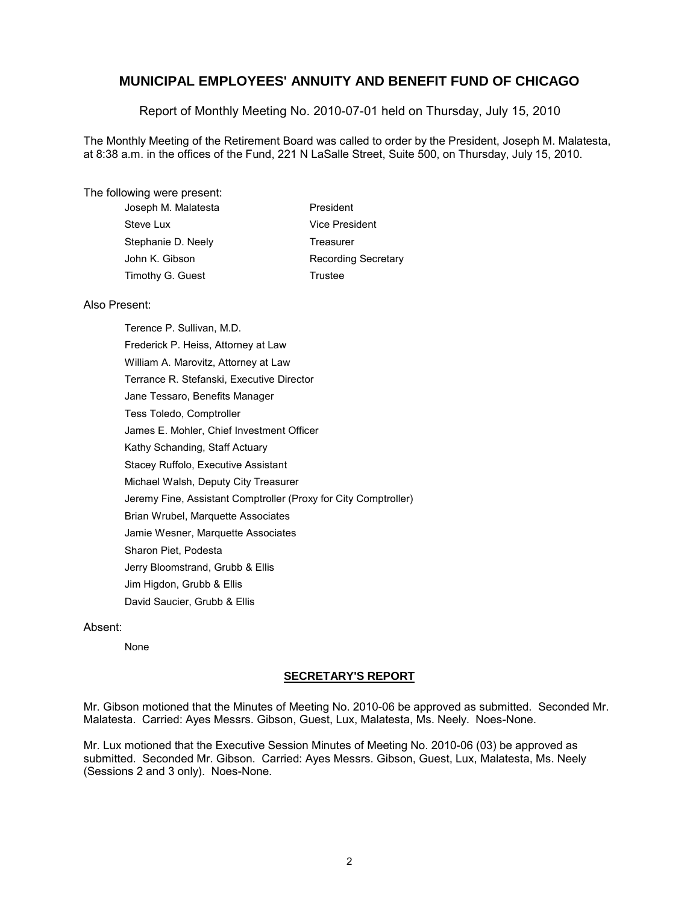Report of Monthly Meeting No. 2010-07-01 held on Thursday, July 15, 2010

The Monthly Meeting of the Retirement Board was called to order by the President, Joseph M. Malatesta, at 8:38 a.m. in the offices of the Fund, 221 N LaSalle Street, Suite 500, on Thursday, July 15, 2010.

#### The following were present:

| President<br>Joseph M. Malatesta |                            |
|----------------------------------|----------------------------|
| Steve Lux                        | Vice President             |
| Stephanie D. Neely<br>Treasurer  |                            |
| John K. Gibson                   | <b>Recording Secretary</b> |
| Timothy G. Guest<br>Trustee      |                            |

#### Also Present:

Terence P. Sullivan, M.D. Frederick P. Heiss, Attorney at Law William A. Marovitz, Attorney at Law Terrance R. Stefanski, Executive Director Jane Tessaro, Benefits Manager Tess Toledo, Comptroller James E. Mohler, Chief Investment Officer Kathy Schanding, Staff Actuary Stacey Ruffolo, Executive Assistant Michael Walsh, Deputy City Treasurer Jeremy Fine, Assistant Comptroller (Proxy for City Comptroller) Brian Wrubel, Marquette Associates Jamie Wesner, Marquette Associates Sharon Piet, Podesta Jerry Bloomstrand, Grubb & Ellis Jim Higdon, Grubb & Ellis David Saucier, Grubb & Ellis

#### Absent:

None

#### **SECRETARY'S REPORT**

Mr. Gibson motioned that the Minutes of Meeting No. 2010-06 be approved as submitted. Seconded Mr. Malatesta. Carried: Ayes Messrs. Gibson, Guest, Lux, Malatesta, Ms. Neely. Noes-None.

Mr. Lux motioned that the Executive Session Minutes of Meeting No. 2010-06 (03) be approved as submitted. Seconded Mr. Gibson. Carried: Ayes Messrs. Gibson, Guest, Lux, Malatesta, Ms. Neely (Sessions 2 and 3 only). Noes-None.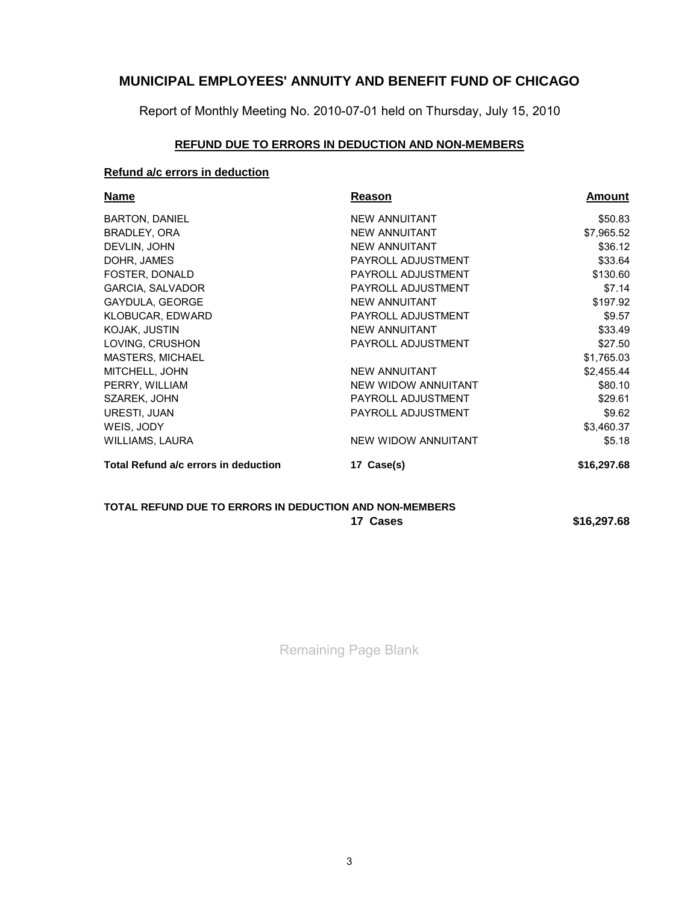Report of Monthly Meeting No. 2010-07-01 held on Thursday, July 15, 2010

### **REFUND DUE TO ERRORS IN DEDUCTION AND NON-MEMBERS**

### **Refund a/c errors in deduction**

| <b>Name</b>                          | Reason               | Amount      |
|--------------------------------------|----------------------|-------------|
| <b>BARTON, DANIEL</b>                | <b>NEW ANNUITANT</b> | \$50.83     |
| BRADLEY, ORA                         | <b>NEW ANNUITANT</b> | \$7,965.52  |
| DEVLIN, JOHN                         | <b>NEW ANNUITANT</b> | \$36.12     |
| DOHR, JAMES                          | PAYROLL ADJUSTMENT   | \$33.64     |
| FOSTER, DONALD                       | PAYROLL ADJUSTMENT   | \$130.60    |
| <b>GARCIA, SALVADOR</b>              | PAYROLL ADJUSTMENT   | \$7.14      |
| <b>GAYDULA, GEORGE</b>               | <b>NEW ANNUITANT</b> | \$197.92    |
| KLOBUCAR, EDWARD                     | PAYROLL ADJUSTMENT   | \$9.57      |
| KOJAK, JUSTIN                        | <b>NEW ANNUITANT</b> | \$33.49     |
| LOVING, CRUSHON                      | PAYROLL ADJUSTMENT   | \$27.50     |
| <b>MASTERS, MICHAEL</b>              |                      | \$1,765.03  |
| MITCHELL, JOHN                       | <b>NEW ANNUITANT</b> | \$2,455.44  |
| PERRY, WILLIAM                       | NEW WIDOW ANNUITANT  | \$80.10     |
| SZAREK, JOHN                         | PAYROLL ADJUSTMENT   | \$29.61     |
| URESTI, JUAN                         | PAYROLL ADJUSTMENT   | \$9.62      |
| WEIS, JODY                           |                      | \$3,460.37  |
| WILLIAMS, LAURA                      | NEW WIDOW ANNUITANT  | \$5.18      |
| Total Refund a/c errors in deduction | 17 Case(s)           | \$16,297.68 |
|                                      |                      |             |

#### **TOTAL REFUND DUE TO ERRORS IN DEDUCTION AND NON-MEMBERS 17 Cases \$16,297.68**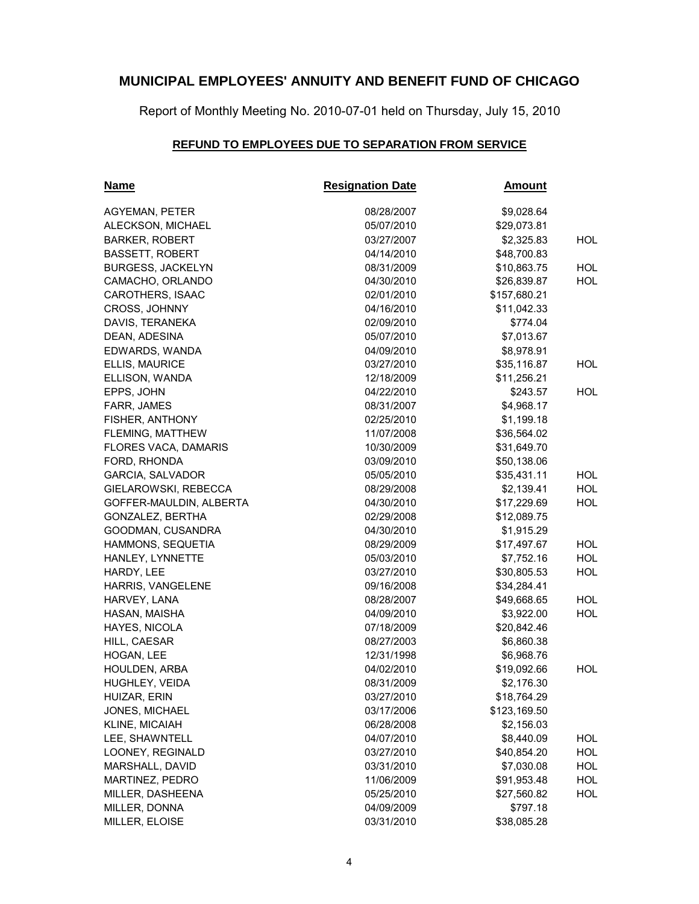Report of Monthly Meeting No. 2010-07-01 held on Thursday, July 15, 2010

### **REFUND TO EMPLOYEES DUE TO SEPARATION FROM SERVICE**

| <u>Name</u>              | <b>Resignation Date</b> | <u>Amount</u> |            |
|--------------------------|-------------------------|---------------|------------|
| <b>AGYEMAN, PETER</b>    | 08/28/2007              | \$9,028.64    |            |
| ALECKSON, MICHAEL        | 05/07/2010              | \$29,073.81   |            |
| <b>BARKER, ROBERT</b>    | 03/27/2007              | \$2,325.83    | HOL        |
| <b>BASSETT, ROBERT</b>   | 04/14/2010              | \$48,700.83   |            |
| <b>BURGESS, JACKELYN</b> | 08/31/2009              | \$10,863.75   | <b>HOL</b> |
| CAMACHO, ORLANDO         | 04/30/2010              | \$26,839.87   | <b>HOL</b> |
| <b>CAROTHERS, ISAAC</b>  | 02/01/2010              | \$157,680.21  |            |
| <b>CROSS, JOHNNY</b>     | 04/16/2010              | \$11,042.33   |            |
| DAVIS, TERANEKA          | 02/09/2010              | \$774.04      |            |
| DEAN, ADESINA            | 05/07/2010              | \$7,013.67    |            |
| EDWARDS, WANDA           | 04/09/2010              | \$8,978.91    |            |
| ELLIS, MAURICE           | 03/27/2010              | \$35,116.87   | HOL        |
| ELLISON, WANDA           | 12/18/2009              | \$11,256.21   |            |
| EPPS, JOHN               | 04/22/2010              | \$243.57      | HOL.       |
| FARR, JAMES              | 08/31/2007              | \$4,968.17    |            |
| FISHER, ANTHONY          | 02/25/2010              | \$1,199.18    |            |
| FLEMING, MATTHEW         | 11/07/2008              | \$36,564.02   |            |
| FLORES VACA, DAMARIS     | 10/30/2009              | \$31,649.70   |            |
| FORD, RHONDA             | 03/09/2010              | \$50,138.06   |            |
| <b>GARCIA, SALVADOR</b>  | 05/05/2010              | \$35,431.11   | <b>HOL</b> |
| GIELAROWSKI, REBECCA     | 08/29/2008              | \$2,139.41    | <b>HOL</b> |
| GOFFER-MAULDIN, ALBERTA  | 04/30/2010              | \$17,229.69   | <b>HOL</b> |
| GONZALEZ, BERTHA         | 02/29/2008              | \$12,089.75   |            |
| GOODMAN, CUSANDRA        | 04/30/2010              | \$1,915.29    |            |
| HAMMONS, SEQUETIA        | 08/29/2009              | \$17,497.67   | <b>HOL</b> |
| HANLEY, LYNNETTE         | 05/03/2010              | \$7,752.16    | <b>HOL</b> |
| HARDY, LEE               | 03/27/2010              | \$30,805.53   | HOL        |
| HARRIS, VANGELENE        | 09/16/2008              | \$34,284.41   |            |
| HARVEY, LANA             | 08/28/2007              | \$49,668.65   | <b>HOL</b> |
| HASAN, MAISHA            | 04/09/2010              | \$3,922.00    | <b>HOL</b> |
| HAYES, NICOLA            | 07/18/2009              | \$20,842.46   |            |
| HILL, CAESAR             | 08/27/2003              | \$6,860.38    |            |
| HOGAN, LEE               | 12/31/1998              | \$6,968.76    |            |
| HOULDEN, ARBA            | 04/02/2010              | \$19,092.66   | HOL.       |
| HUGHLEY, VEIDA           | 08/31/2009              | \$2,176.30    |            |
| HUIZAR, ERIN             | 03/27/2010              | \$18,764.29   |            |
| JONES, MICHAEL           | 03/17/2006              | \$123,169.50  |            |
| KLINE, MICAIAH           | 06/28/2008              | \$2,156.03    |            |
| LEE, SHAWNTELL           | 04/07/2010              | \$8,440.09    | HOL        |
| LOONEY, REGINALD         | 03/27/2010              | \$40,854.20   | HOL        |
| MARSHALL, DAVID          | 03/31/2010              | \$7,030.08    | HOL        |
| MARTINEZ, PEDRO          | 11/06/2009              | \$91,953.48   | <b>HOL</b> |
| MILLER, DASHEENA         | 05/25/2010              | \$27,560.82   | HOL        |
| MILLER, DONNA            | 04/09/2009              | \$797.18      |            |
| MILLER, ELOISE           | 03/31/2010              | \$38,085.28   |            |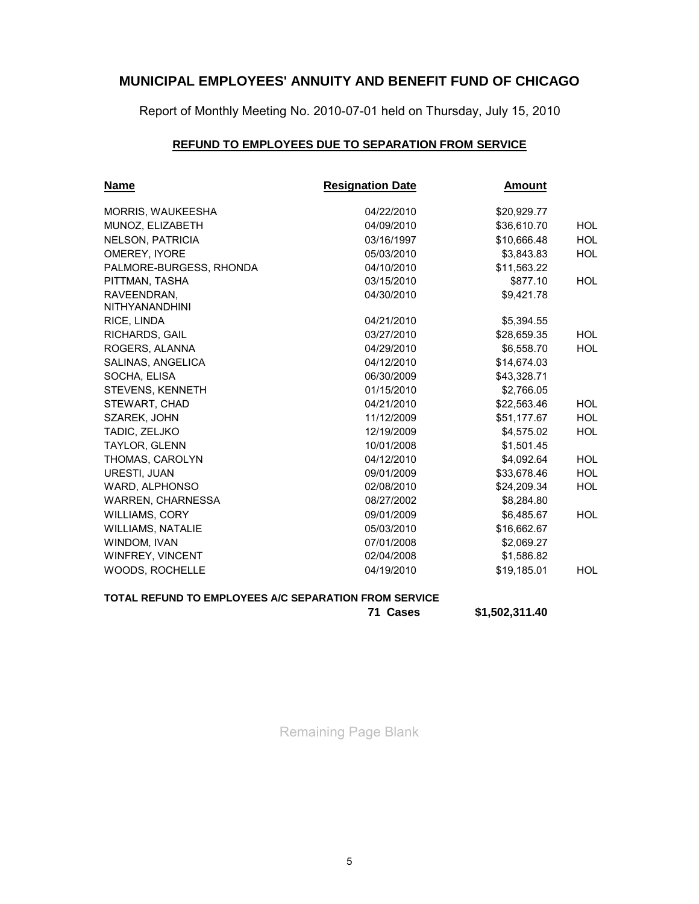Report of Monthly Meeting No. 2010-07-01 held on Thursday, July 15, 2010

### **REFUND TO EMPLOYEES DUE TO SEPARATION FROM SERVICE**

| <u>Name</u>                          | <b>Resignation Date</b> | <u>Amount</u> |            |
|--------------------------------------|-------------------------|---------------|------------|
| MORRIS, WAUKEESHA                    | 04/22/2010              | \$20,929.77   |            |
| MUNOZ, ELIZABETH                     | 04/09/2010              | \$36,610.70   | <b>HOL</b> |
| <b>NELSON, PATRICIA</b>              | 03/16/1997              | \$10,666.48   | <b>HOL</b> |
| OMEREY, IYORE                        | 05/03/2010              | \$3,843.83    | <b>HOL</b> |
| PALMORE-BURGESS, RHONDA              | 04/10/2010              | \$11,563.22   |            |
| PITTMAN, TASHA                       | 03/15/2010              | \$877.10      | HOL.       |
| RAVEENDRAN.<br><b>NITHYANANDHINI</b> | 04/30/2010              | \$9.421.78    |            |
| RICE, LINDA                          | 04/21/2010              | \$5,394.55    |            |
| <b>RICHARDS, GAIL</b>                | 03/27/2010              | \$28,659.35   | HOL.       |
| ROGERS, ALANNA                       | 04/29/2010              | \$6,558.70    | <b>HOL</b> |
| SALINAS, ANGELICA                    | 04/12/2010              | \$14,674.03   |            |
| SOCHA, ELISA                         | 06/30/2009              | \$43,328.71   |            |
| STEVENS, KENNETH                     | 01/15/2010              | \$2,766.05    |            |
| STEWART, CHAD                        | 04/21/2010              | \$22,563.46   | HOL.       |
| SZAREK, JOHN                         | 11/12/2009              | \$51,177.67   | <b>HOL</b> |
| TADIC, ZELJKO                        | 12/19/2009              | \$4,575.02    | <b>HOL</b> |
| TAYLOR, GLENN                        | 10/01/2008              | \$1,501.45    |            |
| THOMAS, CAROLYN                      | 04/12/2010              | \$4,092.64    | <b>HOL</b> |
| URESTI, JUAN                         | 09/01/2009              | \$33,678.46   | <b>HOL</b> |
| WARD, ALPHONSO                       | 02/08/2010              | \$24,209.34   | HOL        |
| <b>WARREN, CHARNESSA</b>             | 08/27/2002              | \$8,284.80    |            |
| <b>WILLIAMS, CORY</b>                | 09/01/2009              | \$6,485.67    | <b>HOL</b> |
| <b>WILLIAMS, NATALIE</b>             | 05/03/2010              | \$16,662.67   |            |
| <b>WINDOM, IVAN</b>                  | 07/01/2008              | \$2,069.27    |            |
| WINFREY, VINCENT                     | 02/04/2008              | \$1,586.82    |            |
| WOODS, ROCHELLE                      | 04/19/2010              | \$19,185.01   | HOL        |

### **TOTAL REFUND TO EMPLOYEES A/C SEPARATION FROM SERVICE**

**71 Cases \$1,502,311.40**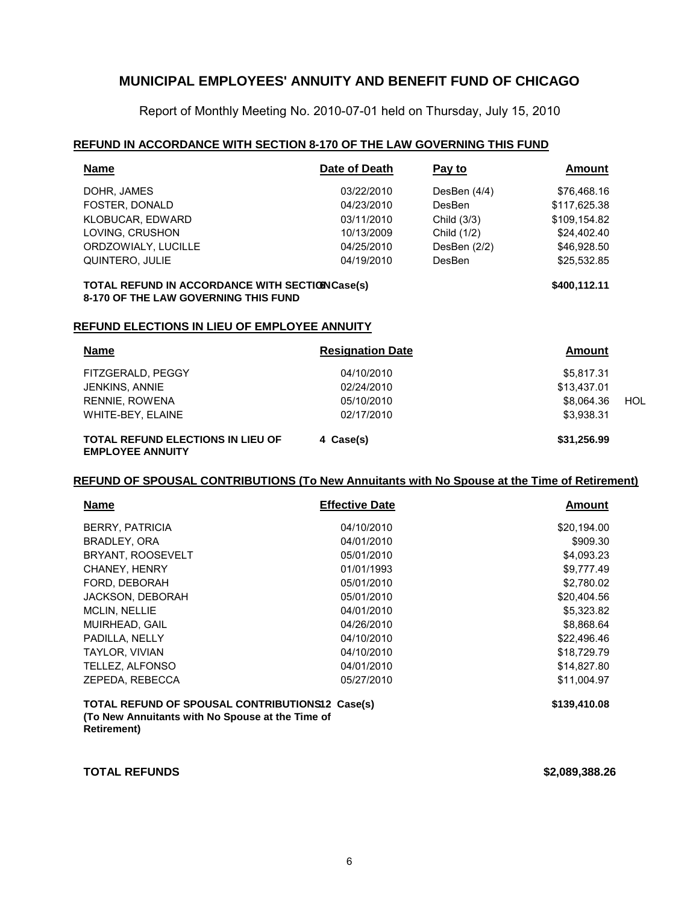Report of Monthly Meeting No. 2010-07-01 held on Thursday, July 15, 2010

#### **REFUND IN ACCORDANCE WITH SECTION 8-170 OF THE LAW GOVERNING THIS FUND**

| <b>Name</b>         | Date of Death | Pay to        | Amount       |
|---------------------|---------------|---------------|--------------|
| DOHR, JAMES         | 03/22/2010    | DesBen (4/4)  | \$76,468.16  |
| FOSTER, DONALD      | 04/23/2010    | <b>DesBen</b> | \$117,625.38 |
| KLOBUCAR, EDWARD    | 03/11/2010    | Child (3/3)   | \$109,154.82 |
| LOVING, CRUSHON     | 10/13/2009    | Child (1/2)   | \$24,402.40  |
| ORDZOWIALY, LUCILLE | 04/25/2010    | DesBen (2/2)  | \$46.928.50  |
| QUINTERO, JULIE     | 04/19/2010    | <b>DesBen</b> | \$25,532.85  |
|                     |               |               |              |

#### **TOTAL REFUND IN ACCORDANCE WITH SECTION Case(s)** \$400,112.11 **8-170 OF THE LAW GOVERNING THIS FUND**

#### **REFUND ELECTIONS IN LIEU OF EMPLOYEE ANNUITY**

| <b>Name</b>                                                         | <b>Resignation Date</b> | Amount      |     |
|---------------------------------------------------------------------|-------------------------|-------------|-----|
| FITZGERALD, PEGGY                                                   | 04/10/2010              | \$5,817.31  |     |
| JENKINS, ANNIE                                                      | 02/24/2010              | \$13,437.01 |     |
| RENNIE, ROWENA                                                      | 05/10/2010              | \$8.064.36  | HOL |
| WHITE-BEY, ELAINE                                                   | 02/17/2010              | \$3,938.31  |     |
| <b>TOTAL REFUND ELECTIONS IN LIEU OF</b><br><b>EMPLOYEE ANNUITY</b> | 4 Case(s)               | \$31,256.99 |     |

#### **REFUND OF SPOUSAL CONTRIBUTIONS (To New Annuitants with No Spouse at the Time of Retirement)**

| <b>Name</b>                                                                                                                | <b>Effective Date</b> | <b>Amount</b> |
|----------------------------------------------------------------------------------------------------------------------------|-----------------------|---------------|
| <b>BERRY, PATRICIA</b>                                                                                                     | 04/10/2010            | \$20,194.00   |
| BRADLEY, ORA                                                                                                               | 04/01/2010            | \$909.30      |
| BRYANT, ROOSEVELT                                                                                                          | 05/01/2010            | \$4,093.23    |
| <b>CHANEY, HENRY</b>                                                                                                       | 01/01/1993            | \$9,777.49    |
| FORD, DEBORAH                                                                                                              | 05/01/2010            | \$2,780.02    |
| <b>JACKSON, DEBORAH</b>                                                                                                    | 05/01/2010            | \$20,404.56   |
| <b>MCLIN, NELLIE</b>                                                                                                       | 04/01/2010            | \$5,323.82    |
| MUIRHEAD, GAIL                                                                                                             | 04/26/2010            | \$8,868.64    |
| PADILLA, NELLY                                                                                                             | 04/10/2010            | \$22,496.46   |
| TAYLOR, VIVIAN                                                                                                             | 04/10/2010            | \$18,729.79   |
| TELLEZ, ALFONSO                                                                                                            | 04/01/2010            | \$14,827.80   |
| ZEPEDA, REBECCA                                                                                                            | 05/27/2010            | \$11,004.97   |
| TOTAL REFUND OF SPOUSAL CONTRIBUTIONS12 Case(s)<br>(To New Annuitants with No Spouse at the Time of<br><b>Retirement</b> ) |                       | \$139,410.08  |

**TOTAL REFUNDS \$2,089,388.26**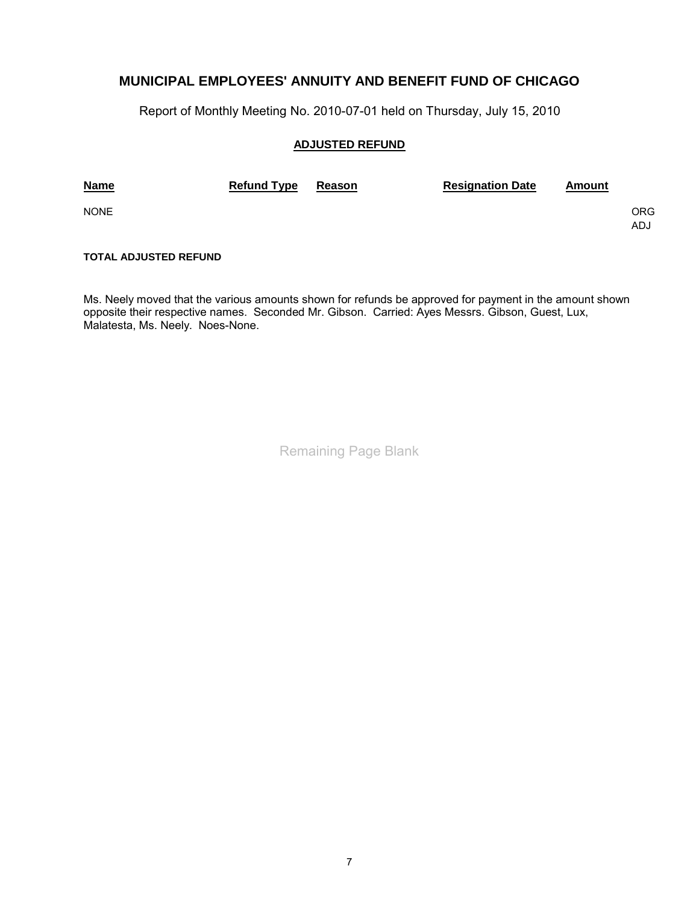Report of Monthly Meeting No. 2010-07-01 held on Thursday, July 15, 2010

#### **ADJUSTED REFUND**

| <b>Name</b> | <b>Refund Type</b> | <b>Reason</b> | <b>Resignation Date</b> | <u>Amount</u> |            |
|-------------|--------------------|---------------|-------------------------|---------------|------------|
| <b>NONE</b> |                    |               |                         |               | ORG<br>ADJ |

### **TOTAL ADJUSTED REFUND**

Ms. Neely moved that the various amounts shown for refunds be approved for payment in the amount shown opposite their respective names. Seconded Mr. Gibson. Carried: Ayes Messrs. Gibson, Guest, Lux, Malatesta, Ms. Neely. Noes-None.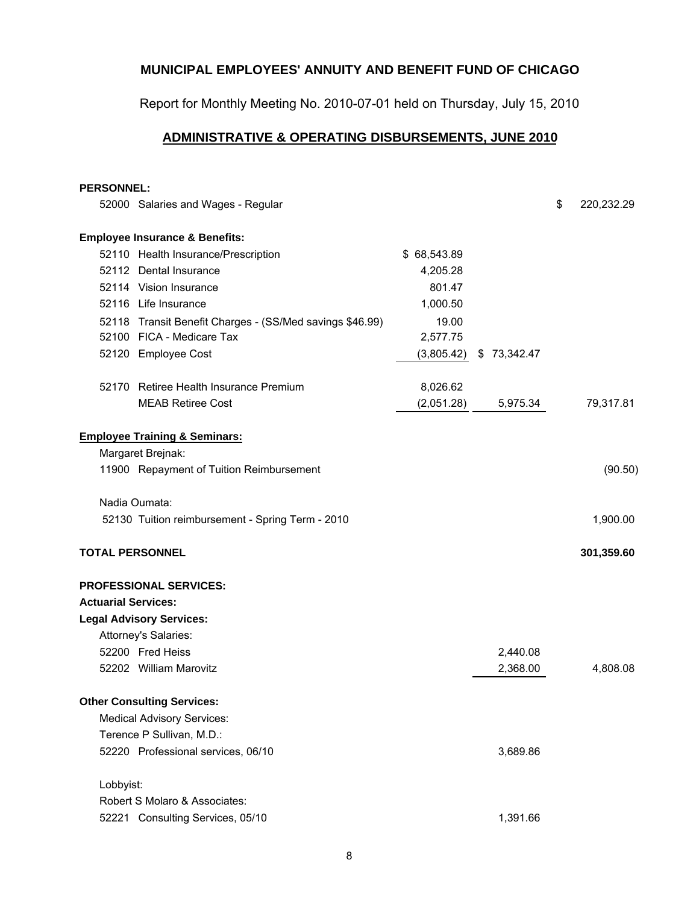Report for Monthly Meeting No. 2010-07-01 held on Thursday, July 15, 2010

## **ADMINISTRATIVE & OPERATING DISBURSEMENTS, JUNE 2010**

### **PERSONNEL:**

|                            | 52000 Salaries and Wages - Regular                       |             |             | \$<br>220,232.29 |
|----------------------------|----------------------------------------------------------|-------------|-------------|------------------|
|                            | <b>Employee Insurance &amp; Benefits:</b>                |             |             |                  |
|                            | 52110 Health Insurance/Prescription                      | \$68,543.89 |             |                  |
|                            | 52112 Dental Insurance                                   | 4,205.28    |             |                  |
|                            | 52114 Vision Insurance                                   | 801.47      |             |                  |
|                            | 52116 Life Insurance                                     | 1,000.50    |             |                  |
|                            | 52118 Transit Benefit Charges - (SS/Med savings \$46.99) | 19.00       |             |                  |
|                            | 52100 FICA - Medicare Tax                                | 2,577.75    |             |                  |
|                            | 52120 Employee Cost                                      | (3,805.42)  | \$73,342.47 |                  |
|                            | 52170 Retiree Health Insurance Premium                   | 8,026.62    |             |                  |
|                            | <b>MEAB Retiree Cost</b>                                 | (2,051.28)  | 5,975.34    | 79,317.81        |
|                            | <b>Employee Training &amp; Seminars:</b>                 |             |             |                  |
|                            | Margaret Brejnak:                                        |             |             |                  |
|                            | 11900 Repayment of Tuition Reimbursement                 |             |             | (90.50)          |
|                            | Nadia Oumata:                                            |             |             |                  |
|                            | 52130 Tuition reimbursement - Spring Term - 2010         |             |             | 1,900.00         |
| <b>TOTAL PERSONNEL</b>     |                                                          |             |             | 301,359.60       |
|                            | <b>PROFESSIONAL SERVICES:</b>                            |             |             |                  |
| <b>Actuarial Services:</b> |                                                          |             |             |                  |
|                            | <b>Legal Advisory Services:</b>                          |             |             |                  |
|                            | Attorney's Salaries:                                     |             |             |                  |
|                            | 52200 Fred Heiss                                         |             | 2,440.08    |                  |
|                            | 52202 William Marovitz                                   |             | 2,368.00    | 4,808.08         |
|                            | <b>Other Consulting Services:</b>                        |             |             |                  |
|                            | <b>Medical Advisory Services:</b>                        |             |             |                  |
|                            | Terence P Sullivan, M.D.:                                |             |             |                  |
|                            | 52220 Professional services, 06/10                       |             | 3,689.86    |                  |
| Lobbyist:                  |                                                          |             |             |                  |
|                            | Robert S Molaro & Associates:                            |             |             |                  |
|                            | 52221 Consulting Services, 05/10                         |             | 1,391.66    |                  |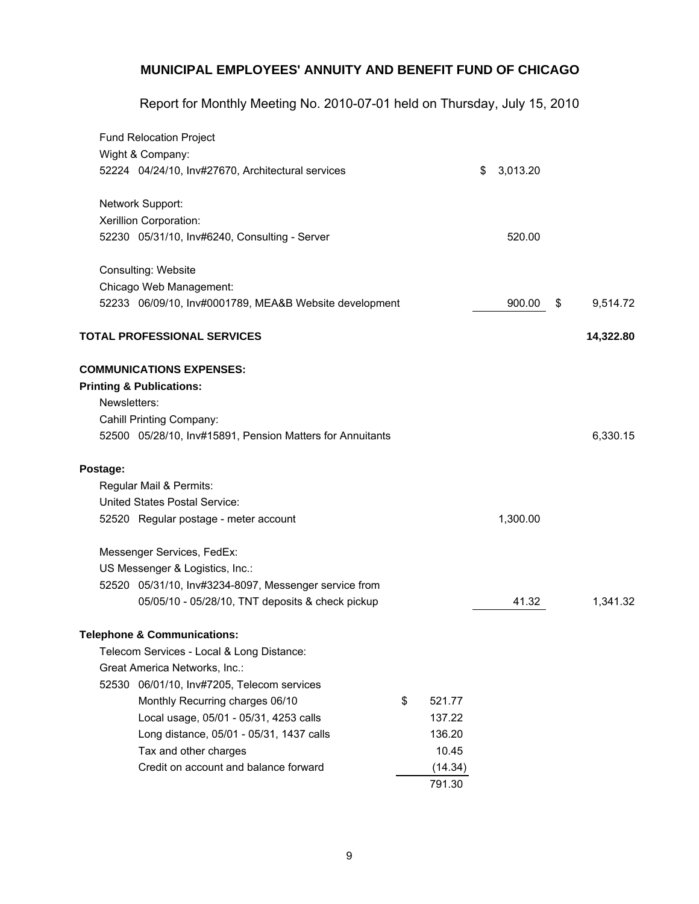Report for Monthly Meeting No. 2010-07-01 held on Thursday, July 15, 2010

|              | <b>Fund Relocation Project</b>                            |              |                |                |
|--------------|-----------------------------------------------------------|--------------|----------------|----------------|
|              | Wight & Company:                                          |              |                |                |
|              | 52224 04/24/10, Inv#27670, Architectural services         |              | \$<br>3,013.20 |                |
|              | Network Support:                                          |              |                |                |
|              | Xerillion Corporation:                                    |              |                |                |
|              | 52230 05/31/10, Inv#6240, Consulting - Server             |              | 520.00         |                |
|              | Consulting: Website                                       |              |                |                |
|              | Chicago Web Management:                                   |              |                |                |
|              | 52233 06/09/10, Inv#0001789, MEA&B Website development    |              | 900.00         | \$<br>9,514.72 |
|              | <b>TOTAL PROFESSIONAL SERVICES</b>                        |              |                | 14,322.80      |
|              | <b>COMMUNICATIONS EXPENSES:</b>                           |              |                |                |
|              | <b>Printing &amp; Publications:</b>                       |              |                |                |
| Newsletters: |                                                           |              |                |                |
|              | Cahill Printing Company:                                  |              |                |                |
|              | 52500 05/28/10, Inv#15891, Pension Matters for Annuitants |              |                | 6,330.15       |
| Postage:     |                                                           |              |                |                |
|              | Regular Mail & Permits:                                   |              |                |                |
|              | United States Postal Service:                             |              |                |                |
|              | 52520 Regular postage - meter account                     |              | 1,300.00       |                |
|              | Messenger Services, FedEx:                                |              |                |                |
|              | US Messenger & Logistics, Inc.:                           |              |                |                |
|              | 52520 05/31/10, Inv#3234-8097, Messenger service from     |              |                |                |
|              | 05/05/10 - 05/28/10, TNT deposits & check pickup          |              | 41.32          | 1,341.32       |
|              | <b>Telephone &amp; Communications:</b>                    |              |                |                |
|              | Telecom Services - Local & Long Distance:                 |              |                |                |
|              | Great America Networks, Inc.:                             |              |                |                |
|              | 52530 06/01/10, Inv#7205, Telecom services                |              |                |                |
|              | Monthly Recurring charges 06/10                           | \$<br>521.77 |                |                |
|              | Local usage, 05/01 - 05/31, 4253 calls                    | 137.22       |                |                |
|              | Long distance, 05/01 - 05/31, 1437 calls                  | 136.20       |                |                |
|              | Tax and other charges                                     | 10.45        |                |                |
|              | Credit on account and balance forward                     | (14.34)      |                |                |
|              |                                                           | 791.30       |                |                |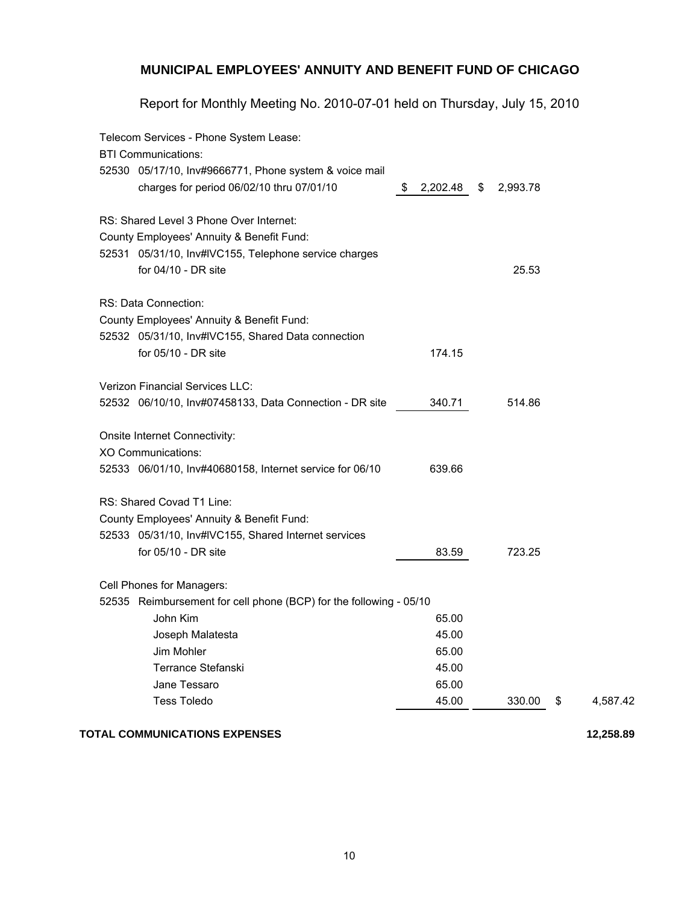Report for Monthly Meeting No. 2010-07-01 held on Thursday, July 15, 2010

| Telecom Services - Phone System Lease:                             |               |                |                |
|--------------------------------------------------------------------|---------------|----------------|----------------|
| <b>BTI Communications:</b>                                         |               |                |                |
| 52530 05/17/10, Inv#9666771, Phone system & voice mail             |               |                |                |
| charges for period 06/02/10 thru 07/01/10                          | 2,202.48<br>S | \$<br>2,993.78 |                |
| RS: Shared Level 3 Phone Over Internet:                            |               |                |                |
| County Employees' Annuity & Benefit Fund:                          |               |                |                |
| 52531 05/31/10, Inv#IVC155, Telephone service charges              |               |                |                |
| for 04/10 - DR site                                                |               | 25.53          |                |
| RS: Data Connection:                                               |               |                |                |
| County Employees' Annuity & Benefit Fund:                          |               |                |                |
| 52532 05/31/10, Inv#IVC155, Shared Data connection                 |               |                |                |
| for 05/10 - DR site                                                | 174.15        |                |                |
| Verizon Financial Services LLC:                                    |               |                |                |
| 52532 06/10/10, Inv#07458133, Data Connection - DR site            | 340.71        | 514.86         |                |
| Onsite Internet Connectivity:                                      |               |                |                |
| <b>XO Communications:</b>                                          |               |                |                |
| 52533 06/01/10, Inv#40680158, Internet service for 06/10           | 639.66        |                |                |
| RS: Shared Covad T1 Line:                                          |               |                |                |
| County Employees' Annuity & Benefit Fund:                          |               |                |                |
| 52533 05/31/10, Inv#IVC155, Shared Internet services               |               |                |                |
| for 05/10 - DR site                                                | 83.59         | 723.25         |                |
| Cell Phones for Managers:                                          |               |                |                |
| 52535 Reimbursement for cell phone (BCP) for the following - 05/10 |               |                |                |
| John Kim                                                           | 65.00         |                |                |
| Joseph Malatesta                                                   | 45.00         |                |                |
| Jim Mohler                                                         | 65.00         |                |                |
| Terrance Stefanski                                                 | 45.00         |                |                |
| Jane Tessaro                                                       | 65.00         |                |                |
| <b>Tess Toledo</b>                                                 | 45.00         | 330.00         | \$<br>4,587.42 |
| <b>TOTAL COMMUNICATIONS EXPENSES</b>                               |               |                | 12,258.89      |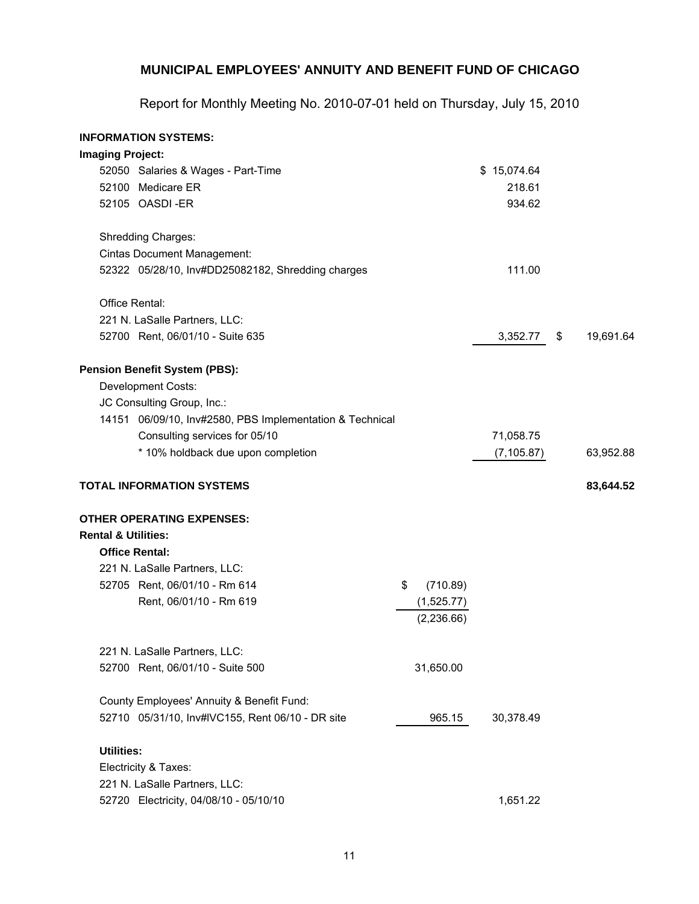Report for Monthly Meeting No. 2010-07-01 held on Thursday, July 15, 2010

### **INFORMATION SYSTEMS:**

| <b>Imaging Project:</b>        |                                                          |                          |             |                 |
|--------------------------------|----------------------------------------------------------|--------------------------|-------------|-----------------|
|                                | 52050 Salaries & Wages - Part-Time                       |                          | \$15,074.64 |                 |
|                                | 52100 Medicare ER                                        |                          | 218.61      |                 |
|                                | 52105 OASDI-ER                                           |                          | 934.62      |                 |
|                                | Shredding Charges:                                       |                          |             |                 |
|                                | <b>Cintas Document Management:</b>                       |                          |             |                 |
|                                | 52322 05/28/10, Inv#DD25082182, Shredding charges        |                          | 111.00      |                 |
|                                | Office Rental:                                           |                          |             |                 |
|                                | 221 N. LaSalle Partners, LLC:                            |                          |             |                 |
|                                | 52700 Rent, 06/01/10 - Suite 635                         |                          | 3,352.77    | \$<br>19,691.64 |
|                                | <b>Pension Benefit System (PBS):</b>                     |                          |             |                 |
|                                | Development Costs:                                       |                          |             |                 |
|                                | JC Consulting Group, Inc.:                               |                          |             |                 |
|                                | 14151 06/09/10, Inv#2580, PBS Implementation & Technical |                          |             |                 |
|                                | Consulting services for 05/10                            |                          | 71,058.75   |                 |
|                                | * 10% holdback due upon completion                       |                          | (7, 105.87) | 63,952.88       |
|                                | <b>TOTAL INFORMATION SYSTEMS</b>                         |                          |             | 83,644.52       |
|                                | <b>OTHER OPERATING EXPENSES:</b>                         |                          |             |                 |
| <b>Rental &amp; Utilities:</b> |                                                          |                          |             |                 |
|                                | <b>Office Rental:</b>                                    |                          |             |                 |
|                                | 221 N. LaSalle Partners, LLC:                            |                          |             |                 |
|                                | 52705 Rent, 06/01/10 - Rm 614                            | \$<br>(710.89)           |             |                 |
|                                | Rent, 06/01/10 - Rm 619                                  | (1,525.77)<br>(2,236.66) |             |                 |
|                                | 221 N. LaSalle Partners, LLC:                            |                          |             |                 |
|                                | 52700 Rent, 06/01/10 - Suite 500                         | 31,650.00                |             |                 |
|                                | County Employees' Annuity & Benefit Fund:                |                          |             |                 |
|                                | 52710 05/31/10, Inv#IVC155, Rent 06/10 - DR site         | 965.15                   | 30,378.49   |                 |
| <b>Utilities:</b>              |                                                          |                          |             |                 |
|                                | Electricity & Taxes:                                     |                          |             |                 |
|                                | 221 N. LaSalle Partners, LLC:                            |                          |             |                 |
|                                | 52720 Electricity, 04/08/10 - 05/10/10                   |                          | 1,651.22    |                 |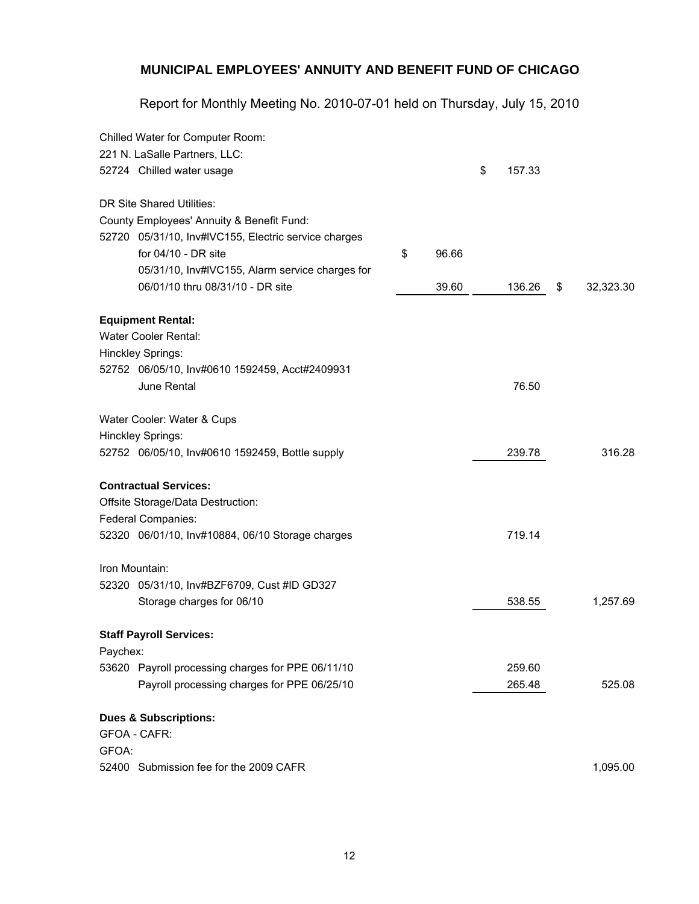Report for Monthly Meeting No. 2010-07-01 held on Thursday, July 15, 2010

|          | Chilled Water for Computer Room:                     |             |              |                 |
|----------|------------------------------------------------------|-------------|--------------|-----------------|
|          | 221 N. LaSalle Partners, LLC:                        |             |              |                 |
|          | 52724 Chilled water usage                            |             | \$<br>157.33 |                 |
|          | DR Site Shared Utilities:                            |             |              |                 |
|          | County Employees' Annuity & Benefit Fund:            |             |              |                 |
|          | 52720 05/31/10, Inv#IVC155, Electric service charges |             |              |                 |
|          | for $04/10$ - DR site                                | \$<br>96.66 |              |                 |
|          | 05/31/10, Inv#IVC155, Alarm service charges for      |             |              |                 |
|          | 06/01/10 thru 08/31/10 - DR site                     | 39.60       | 136.26       | \$<br>32,323.30 |
|          | <b>Equipment Rental:</b>                             |             |              |                 |
|          | Water Cooler Rental:                                 |             |              |                 |
|          | Hinckley Springs:                                    |             |              |                 |
|          | 52752 06/05/10, Inv#0610 1592459, Acct#2409931       |             |              |                 |
|          | June Rental                                          |             | 76.50        |                 |
|          | Water Cooler: Water & Cups                           |             |              |                 |
|          | Hinckley Springs:                                    |             |              |                 |
|          | 52752 06/05/10, Inv#0610 1592459, Bottle supply      |             | 239.78       | 316.28          |
|          | <b>Contractual Services:</b>                         |             |              |                 |
|          | Offsite Storage/Data Destruction:                    |             |              |                 |
|          | Federal Companies:                                   |             |              |                 |
|          | 52320 06/01/10, Inv#10884, 06/10 Storage charges     |             | 719.14       |                 |
|          | Iron Mountain:                                       |             |              |                 |
|          | 52320 05/31/10, Inv#BZF6709, Cust #ID GD327          |             |              |                 |
|          | Storage charges for 06/10                            |             | 538.55       | 1,257.69        |
|          | <b>Staff Payroll Services:</b>                       |             |              |                 |
| Paychex: |                                                      |             |              |                 |
|          | 53620 Payroll processing charges for PPE 06/11/10    |             | 259.60       |                 |
|          | Payroll processing charges for PPE 06/25/10          |             | 265.48       | 525.08          |
|          | <b>Dues &amp; Subscriptions:</b>                     |             |              |                 |
|          | <b>GFOA - CAFR:</b>                                  |             |              |                 |
| GFOA:    |                                                      |             |              |                 |
|          | 52400 Submission fee for the 2009 CAFR               |             |              | 1,095.00        |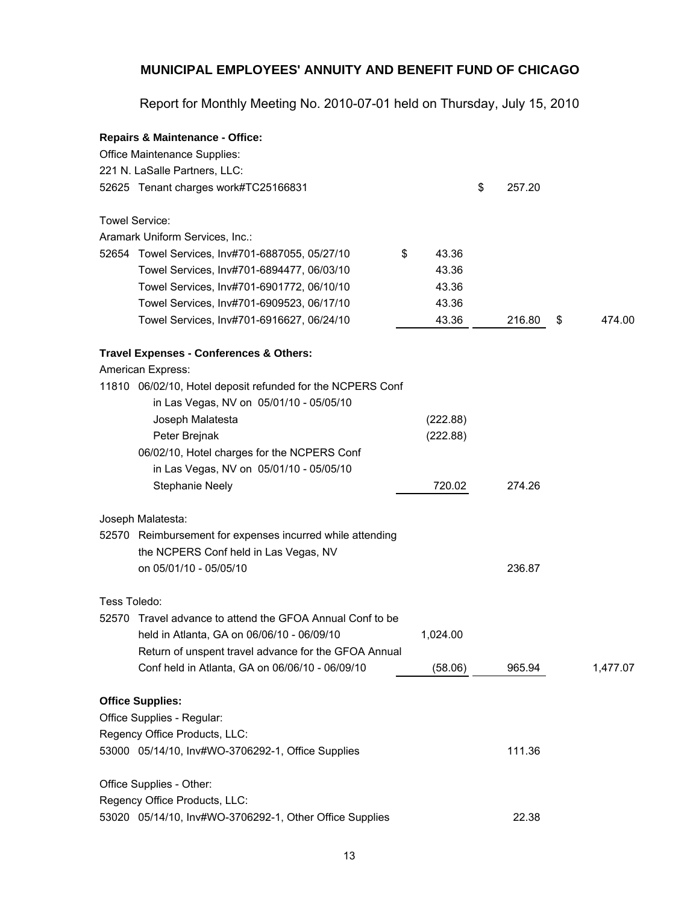Report for Monthly Meeting No. 2010-07-01 held on Thursday, July 15, 2010

|              | <b>Repairs &amp; Maintenance - Office:</b>                 |             |              |              |
|--------------|------------------------------------------------------------|-------------|--------------|--------------|
|              | Office Maintenance Supplies:                               |             |              |              |
|              | 221 N. LaSalle Partners, LLC:                              |             |              |              |
|              | 52625 Tenant charges work#TC25166831                       |             | \$<br>257.20 |              |
|              | Towel Service:                                             |             |              |              |
|              | Aramark Uniform Services, Inc.:                            |             |              |              |
|              | 52654 Towel Services, Inv#701-6887055, 05/27/10            | \$<br>43.36 |              |              |
|              | Towel Services, Inv#701-6894477, 06/03/10                  | 43.36       |              |              |
|              | Towel Services, Inv#701-6901772, 06/10/10                  | 43.36       |              |              |
|              | Towel Services, Inv#701-6909523, 06/17/10                  | 43.36       |              |              |
|              | Towel Services, Inv#701-6916627, 06/24/10                  | 43.36       | 216.80       | \$<br>474.00 |
|              | Travel Expenses - Conferences & Others:                    |             |              |              |
|              | American Express:                                          |             |              |              |
|              | 11810 06/02/10, Hotel deposit refunded for the NCPERS Conf |             |              |              |
|              | in Las Vegas, NV on 05/01/10 - 05/05/10                    |             |              |              |
|              | Joseph Malatesta                                           | (222.88)    |              |              |
|              | Peter Brejnak                                              | (222.88)    |              |              |
|              | 06/02/10, Hotel charges for the NCPERS Conf                |             |              |              |
|              | in Las Vegas, NV on 05/01/10 - 05/05/10                    |             |              |              |
|              | <b>Stephanie Neely</b>                                     | 720.02      | 274.26       |              |
|              | Joseph Malatesta:                                          |             |              |              |
|              | 52570 Reimbursement for expenses incurred while attending  |             |              |              |
|              | the NCPERS Conf held in Las Vegas, NV                      |             |              |              |
|              | on 05/01/10 - 05/05/10                                     |             | 236.87       |              |
| Tess Toledo: |                                                            |             |              |              |
| 52570        | Travel advance to attend the GFOA Annual Conf to be        |             |              |              |
|              | held in Atlanta, GA on 06/06/10 - 06/09/10                 | 1,024.00    |              |              |
|              | Return of unspent travel advance for the GFOA Annual       |             |              |              |
|              | Conf held in Atlanta, GA on 06/06/10 - 06/09/10            | (58.06)     | 965.94       | 1,477.07     |
|              | <b>Office Supplies:</b>                                    |             |              |              |
|              | Office Supplies - Regular:                                 |             |              |              |
|              | Regency Office Products, LLC:                              |             |              |              |
|              | 53000 05/14/10, Inv#WO-3706292-1, Office Supplies          |             | 111.36       |              |
|              | Office Supplies - Other:                                   |             |              |              |
|              | Regency Office Products, LLC:                              |             |              |              |
|              | 53020 05/14/10, Inv#WO-3706292-1, Other Office Supplies    |             | 22.38        |              |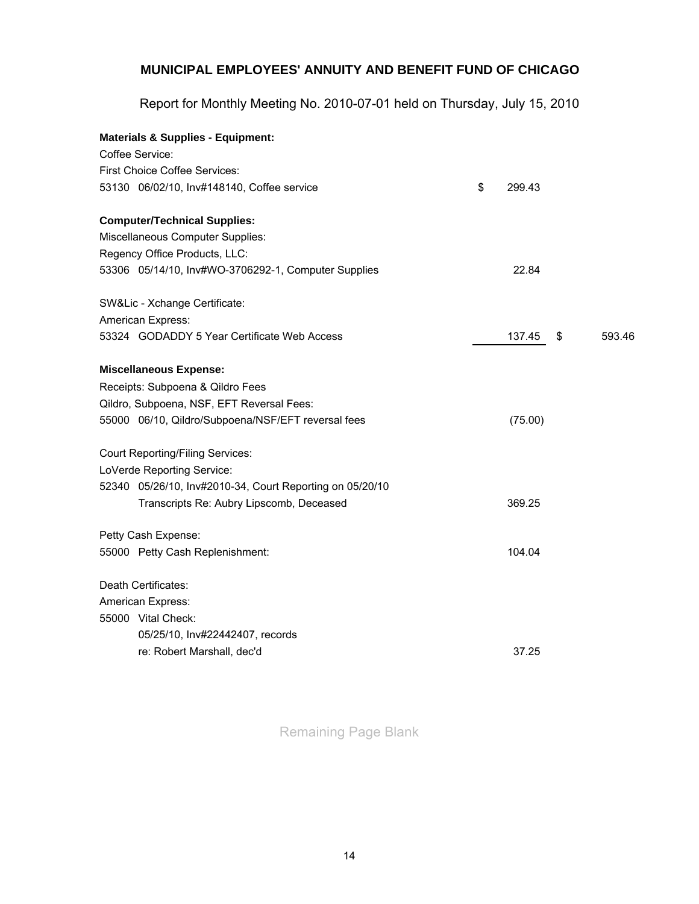Report for Monthly Meeting No. 2010-07-01 held on Thursday, July 15, 2010

| <b>Materials &amp; Supplies - Equipment:</b>             |              |              |
|----------------------------------------------------------|--------------|--------------|
| Coffee Service:                                          |              |              |
| <b>First Choice Coffee Services:</b>                     |              |              |
| 53130 06/02/10, Inv#148140, Coffee service               | \$<br>299.43 |              |
| <b>Computer/Technical Supplies:</b>                      |              |              |
| Miscellaneous Computer Supplies:                         |              |              |
| Regency Office Products, LLC:                            |              |              |
| 53306 05/14/10, Inv#WO-3706292-1, Computer Supplies      | 22.84        |              |
| SW&Lic - Xchange Certificate:                            |              |              |
| American Express:                                        |              |              |
| 53324 GODADDY 5 Year Certificate Web Access              | 137.45       | \$<br>593.46 |
| <b>Miscellaneous Expense:</b>                            |              |              |
| Receipts: Subpoena & Qildro Fees                         |              |              |
| Qildro, Subpoena, NSF, EFT Reversal Fees:                |              |              |
| 55000 06/10, Qildro/Subpoena/NSF/EFT reversal fees       | (75.00)      |              |
| <b>Court Reporting/Filing Services:</b>                  |              |              |
| LoVerde Reporting Service:                               |              |              |
| 52340 05/26/10, Inv#2010-34, Court Reporting on 05/20/10 |              |              |
| Transcripts Re: Aubry Lipscomb, Deceased                 | 369.25       |              |
| Petty Cash Expense:                                      |              |              |
| 55000 Petty Cash Replenishment:                          | 104.04       |              |
| Death Certificates:                                      |              |              |
| American Express:                                        |              |              |
| 55000 Vital Check:                                       |              |              |
| 05/25/10, Inv#22442407, records                          |              |              |
| re: Robert Marshall, dec'd                               | 37.25        |              |
|                                                          |              |              |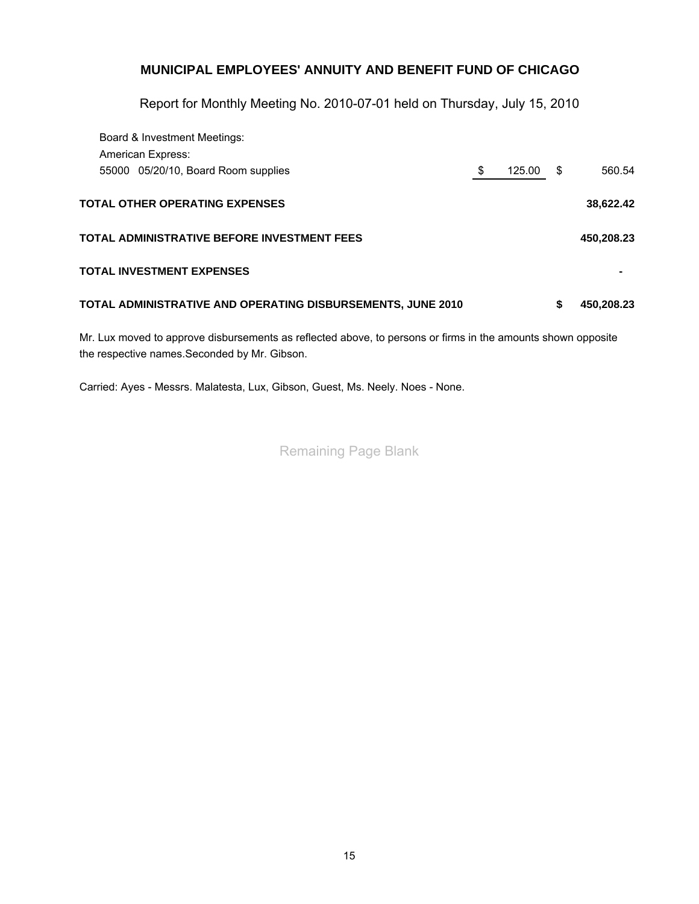Report for Monthly Meeting No. 2010-07-01 held on Thursday, July 15, 2010

| Board & Investment Meetings:                                |              |      |            |
|-------------------------------------------------------------|--------------|------|------------|
| <b>American Express:</b>                                    |              |      |            |
| 55000 05/20/10, Board Room supplies                         | \$<br>125.00 | - \$ | 560.54     |
| <b>TOTAL OTHER OPERATING EXPENSES</b>                       |              |      | 38,622.42  |
| TOTAL ADMINISTRATIVE BEFORE INVESTMENT FEES                 |              |      | 450,208.23 |
| <b>TOTAL INVESTMENT EXPENSES</b>                            |              |      |            |
| TOTAL ADMINISTRATIVE AND OPERATING DISBURSEMENTS, JUNE 2010 |              | \$   | 450,208.23 |

Mr. Lux moved to approve disbursements as reflected above, to [pers](mailto:info@bfcoffee.com)ons or firms in the amounts shown opposite the respective names.Seconded by Mr. Gibson.

Carried: Ayes - Messrs. Malatesta, Lux, Gibson, Guest, Ms. Neel[y. N](mailto:info@bfcoffee.com)oes - None.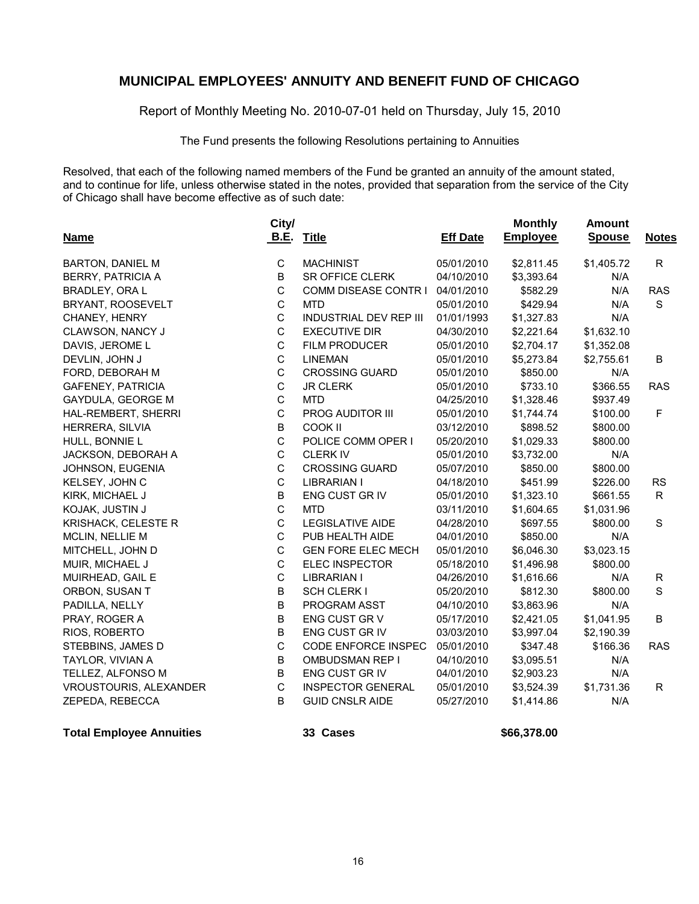Report of Monthly Meeting No. 2010-07-01 held on Thursday, July 15, 2010

The Fund presents the following Resolutions pertaining to Annuities

Resolved, that each of the following named members of the Fund be granted an annuity of the amount stated, and to continue for life, unless otherwise stated in the notes, provided that separation from the service of the City of Chicago shall have become effective as of such date:

| <b>Name</b>              | City/<br><b>B.E.</b> | <b>Title</b>                  | <b>Eff Date</b> | <b>Monthly</b><br><b>Employee</b> | <b>Amount</b><br><b>Spouse</b> | <b>Notes</b> |
|--------------------------|----------------------|-------------------------------|-----------------|-----------------------------------|--------------------------------|--------------|
|                          |                      |                               |                 |                                   |                                |              |
| <b>BARTON, DANIEL M</b>  | $\mathbf C$          | <b>MACHINIST</b>              | 05/01/2010      | \$2,811.45                        | \$1,405.72                     | $\mathsf{R}$ |
| <b>BERRY, PATRICIA A</b> | B                    | SR OFFICE CLERK               | 04/10/2010      | \$3,393.64                        | N/A                            |              |
| <b>BRADLEY, ORA L</b>    | C                    | COMM DISEASE CONTR I          | 04/01/2010      | \$582.29                          | N/A                            | <b>RAS</b>   |
| BRYANT, ROOSEVELT        | C                    | <b>MTD</b>                    | 05/01/2010      | \$429.94                          | N/A                            | $\mathsf{s}$ |
| CHANEY, HENRY            | $\mathsf C$          | <b>INDUSTRIAL DEV REP III</b> | 01/01/1993      | \$1,327.83                        | N/A                            |              |
| CLAWSON, NANCY J         | $\mathbf C$          | <b>EXECUTIVE DIR</b>          | 04/30/2010      | \$2,221.64                        | \$1,632.10                     |              |
| DAVIS, JEROME L          | C                    | <b>FILM PRODUCER</b>          | 05/01/2010      | \$2,704.17                        | \$1,352.08                     |              |
| DEVLIN, JOHN J           | C                    | <b>LINEMAN</b>                | 05/01/2010      | \$5,273.84                        | \$2,755.61                     | B            |
| FORD, DEBORAH M          | $\mathsf C$          | <b>CROSSING GUARD</b>         | 05/01/2010      | \$850.00                          | N/A                            |              |
| <b>GAFENEY, PATRICIA</b> | C                    | <b>JR CLERK</b>               | 05/01/2010      | \$733.10                          | \$366.55                       | <b>RAS</b>   |
| GAYDULA, GEORGE M        | $\mathbf C$          | <b>MTD</b>                    | 04/25/2010      | \$1,328.46                        | \$937.49                       |              |
| HAL-REMBERT, SHERRI      | $\mathsf C$          | PROG AUDITOR III              | 05/01/2010      | \$1,744.74                        | \$100.00                       | F            |
| HERRERA, SILVIA          | B                    | COOK II                       | 03/12/2010      | \$898.52                          | \$800.00                       |              |
| HULL, BONNIE L           | C                    | POLICE COMM OPER I            | 05/20/2010      | \$1,029.33                        | \$800.00                       |              |
| JACKSON, DEBORAH A       | C                    | <b>CLERK IV</b>               | 05/01/2010      | \$3,732.00                        | N/A                            |              |
| JOHNSON, EUGENIA         | $\mathbf C$          | <b>CROSSING GUARD</b>         | 05/07/2010      | \$850.00                          | \$800.00                       |              |
| KELSEY, JOHN C           | $\mathbf C$          | LIBRARIAN I                   | 04/18/2010      | \$451.99                          | \$226.00                       | <b>RS</b>    |
| KIRK, MICHAEL J          | B                    | ENG CUST GR IV                | 05/01/2010      | \$1,323.10                        | \$661.55                       | R.           |
| KOJAK, JUSTIN J          | C                    | <b>MTD</b>                    | 03/11/2010      | \$1,604.65                        | \$1,031.96                     |              |
| KRISHACK, CELESTE R      | C                    | <b>LEGISLATIVE AIDE</b>       | 04/28/2010      | \$697.55                          | \$800.00                       | S            |
| <b>MCLIN, NELLIE M</b>   | $\mathsf C$          | PUB HEALTH AIDE               | 04/01/2010      | \$850.00                          | N/A                            |              |
| MITCHELL, JOHN D         | $\mathsf C$          | <b>GEN FORE ELEC MECH</b>     | 05/01/2010      | \$6,046.30                        | \$3,023.15                     |              |
| MUIR, MICHAEL J          | C                    | <b>ELEC INSPECTOR</b>         | 05/18/2010      | \$1,496.98                        | \$800.00                       |              |
| MUIRHEAD, GAIL E         | C                    | <b>LIBRARIAN I</b>            | 04/26/2010      | \$1,616.66                        | N/A                            | $\mathsf{R}$ |
| ORBON, SUSAN T           | B                    | <b>SCH CLERK I</b>            | 05/20/2010      | \$812.30                          | \$800.00                       | S            |
| PADILLA, NELLY           | B                    | <b>PROGRAM ASST</b>           | 04/10/2010      | \$3,863.96                        | N/A                            |              |
| PRAY, ROGER A            | B                    | ENG CUST GR V                 | 05/17/2010      | \$2,421.05                        | \$1,041.95                     | B            |
| RIOS, ROBERTO            | B                    | ENG CUST GR IV                | 03/03/2010      | \$3,997.04                        | \$2,190.39                     |              |
| STEBBINS, JAMES D        | C                    | <b>CODE ENFORCE INSPEC</b>    | 05/01/2010      | \$347.48                          | \$166.36                       | <b>RAS</b>   |
| TAYLOR, VIVIAN A         | B                    | <b>OMBUDSMAN REP I</b>        | 04/10/2010      | \$3,095.51                        | N/A                            |              |
| TELLEZ, ALFONSO M        | $\sf B$              | ENG CUST GR IV                | 04/01/2010      | \$2,903.23                        | N/A                            |              |
| VROUSTOURIS, ALEXANDER   | C                    | <b>INSPECTOR GENERAL</b>      | 05/01/2010      | \$3,524.39                        | \$1,731.36                     | R.           |
| ZEPEDA, REBECCA          | B                    | <b>GUID CNSLR AIDE</b>        | 05/27/2010      | \$1,414.86                        | N/A                            |              |

**Total Employee Annuities 33 Cases 12 Cases \$66,378.00**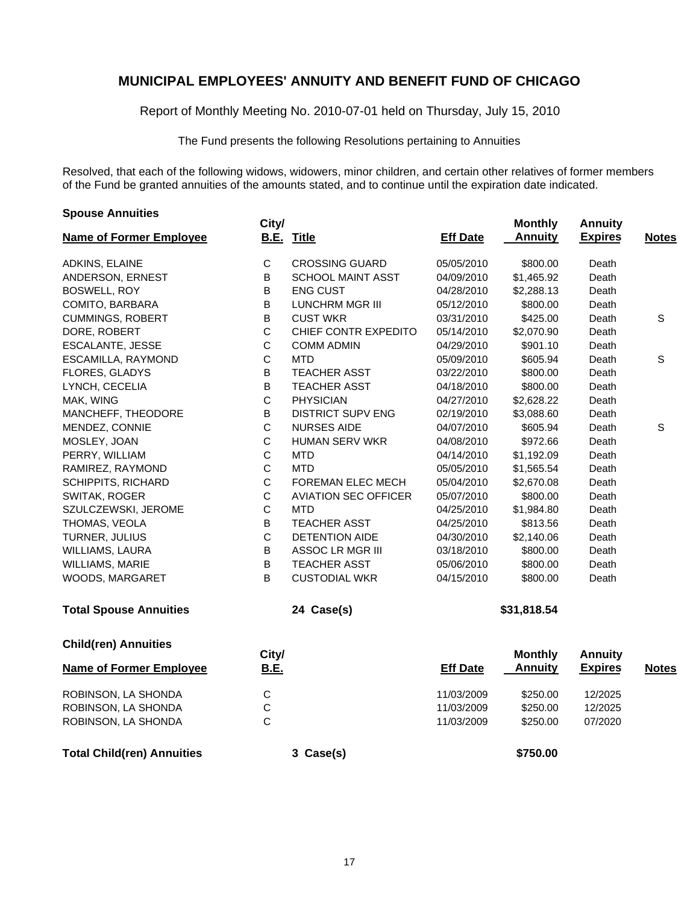Report of Monthly Meeting No. 2010-07-01 held on Thursday, July 15, 2010

The Fund presents the following Resolutions pertaining to Annuities

Resolved, that each of the following widows, widowers, minor children, and certain other relatives of former members of the Fund be granted annuities of the amounts stated, and to continue until the expiration date indicated.

| <b>Spouse Annuities</b>           | City/          |                             |                 | <b>Monthly</b> | <b>Annuity</b> |              |
|-----------------------------------|----------------|-----------------------------|-----------------|----------------|----------------|--------------|
| <b>Name of Former Employee</b>    |                | <b>B.E. Title</b>           | <b>Eff Date</b> | <b>Annuity</b> | <b>Expires</b> | <b>Notes</b> |
| ADKINS, ELAINE                    | $\mathsf C$    | <b>CROSSING GUARD</b>       | 05/05/2010      | \$800.00       | Death          |              |
| ANDERSON, ERNEST                  | B              | <b>SCHOOL MAINT ASST</b>    | 04/09/2010      | \$1,465.92     | Death          |              |
| <b>BOSWELL, ROY</b>               | B              | <b>ENG CUST</b>             | 04/28/2010      | \$2,288.13     | Death          |              |
| COMITO, BARBARA                   | В              | LUNCHRM MGR III             | 05/12/2010      | \$800.00       | Death          |              |
| <b>CUMMINGS, ROBERT</b>           | В              | <b>CUST WKR</b>             | 03/31/2010      | \$425.00       | Death          | $\mathsf S$  |
| DORE, ROBERT                      | $\mathsf{C}$   | CHIEF CONTR EXPEDITO        | 05/14/2010      | \$2,070.90     | Death          |              |
| <b>ESCALANTE, JESSE</b>           | $\mathsf C$    | <b>COMM ADMIN</b>           | 04/29/2010      | \$901.10       | Death          |              |
| ESCAMILLA, RAYMOND                | $\mathsf{C}$   | <b>MTD</b>                  | 05/09/2010      | \$605.94       | Death          | S            |
| FLORES, GLADYS                    | B              | <b>TEACHER ASST</b>         | 03/22/2010      | \$800.00       | Death          |              |
| LYNCH, CECELIA                    | В              | <b>TEACHER ASST</b>         | 04/18/2010      | \$800.00       | Death          |              |
| MAK, WING                         | $\mathsf{C}$   | <b>PHYSICIAN</b>            | 04/27/2010      | \$2,628.22     | Death          |              |
| MANCHEFF, THEODORE                | B              | <b>DISTRICT SUPV ENG</b>    | 02/19/2010      | \$3,088.60     | Death          |              |
| MENDEZ, CONNIE                    | $\mathsf{C}$   | <b>NURSES AIDE</b>          | 04/07/2010      | \$605.94       | Death          | S            |
| MOSLEY, JOAN                      | $\mathsf C$    | <b>HUMAN SERV WKR</b>       | 04/08/2010      | \$972.66       | Death          |              |
| PERRY, WILLIAM                    | $\mathsf{C}$   | <b>MTD</b>                  | 04/14/2010      | \$1,192.09     | Death          |              |
| RAMIREZ, RAYMOND                  | $\mathsf{C}$   | MTD                         | 05/05/2010      | \$1,565.54     | Death          |              |
| <b>SCHIPPITS, RICHARD</b>         | $\mathsf C$    | FOREMAN ELEC MECH           | 05/04/2010      | \$2,670.08     | Death          |              |
| SWITAK, ROGER                     | $\mathsf C$    | <b>AVIATION SEC OFFICER</b> | 05/07/2010      | \$800.00       | Death          |              |
| SZULCZEWSKI, JEROME               | $\mathsf C$    | <b>MTD</b>                  | 04/25/2010      | \$1,984.80     | Death          |              |
| THOMAS, VEOLA                     | B              | <b>TEACHER ASST</b>         | 04/25/2010      | \$813.56       | Death          |              |
| TURNER, JULIUS                    | $\mathsf{C}$   | <b>DETENTION AIDE</b>       | 04/30/2010      | \$2,140.06     | Death          |              |
| WILLIAMS, LAURA                   | B              | ASSOC LR MGR III            | 03/18/2010      | \$800.00       | Death          |              |
| WILLIAMS, MARIE                   | B              | <b>TEACHER ASST</b>         | 05/06/2010      | \$800.00       | Death          |              |
| WOODS, MARGARET                   | B              | <b>CUSTODIAL WKR</b>        | 04/15/2010      | \$800.00       | Death          |              |
| <b>Total Spouse Annuities</b>     |                | 24 Case(s)                  |                 | \$31,818.54    |                |              |
| <b>Child(ren) Annuities</b>       | City/          |                             |                 | <b>Monthly</b> | <b>Annuity</b> |              |
| <b>Name of Former Employee</b>    | <b>B.E.</b>    |                             | <b>Eff Date</b> | <b>Annuity</b> | <b>Expires</b> | <b>Notes</b> |
| ROBINSON, LA SHONDA               | $\mathsf{C}$   |                             | 11/03/2009      | \$250.00       | 12/2025        |              |
| ROBINSON, LA SHONDA               | $\mathsf{C}$   |                             | 11/03/2009      | \$250.00       | 12/2025        |              |
| ROBINSON, LA SHONDA               | $\overline{C}$ |                             | 11/03/2009      | \$250.00       | 07/2020        |              |
| <b>Total Child(ren) Annuities</b> |                | 3 Case(s)                   |                 | \$750.00       |                |              |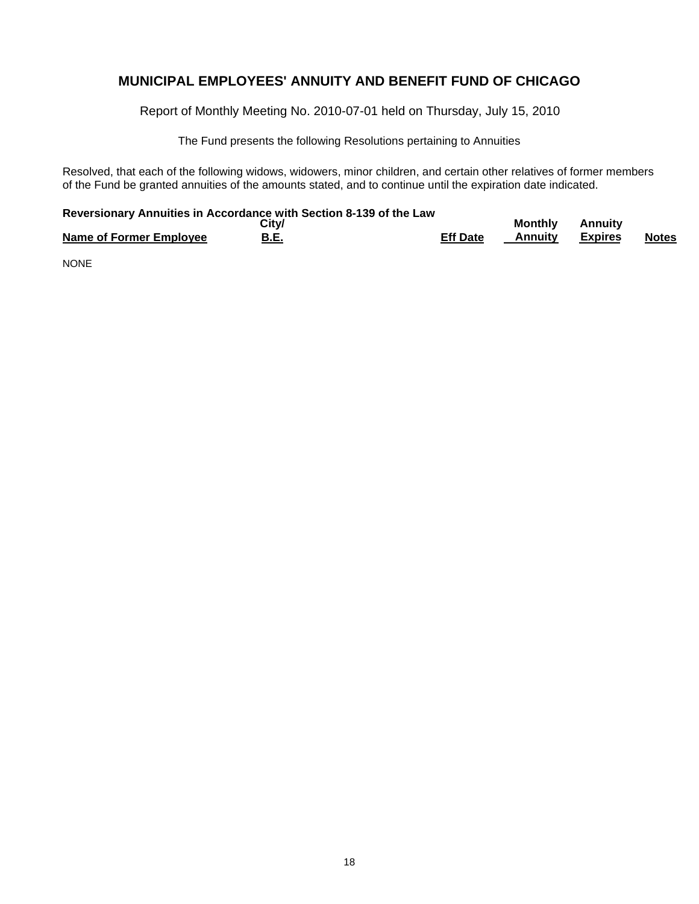Report of Monthly Meeting No. 2010-07-01 held on Thursday, July 15, 2010

The Fund presents the following Resolutions pertaining to Annuities

Resolved, that each of the following widows, widowers, minor children, and certain other relatives of former members of the Fund be granted annuities of the amounts stated, and to continue until the expiration date indicated.

### **Reversionary Annuities in Accordance with Section 8-139 of the Law**

|                         | Citv/ |                 | <b>Monthly</b> | <b>Annuity</b> |              |
|-------------------------|-------|-----------------|----------------|----------------|--------------|
| Name of Former Employee | B.E.  | <b>Eff Date</b> | Annuitv        | Expires        | <b>Notes</b> |

NONE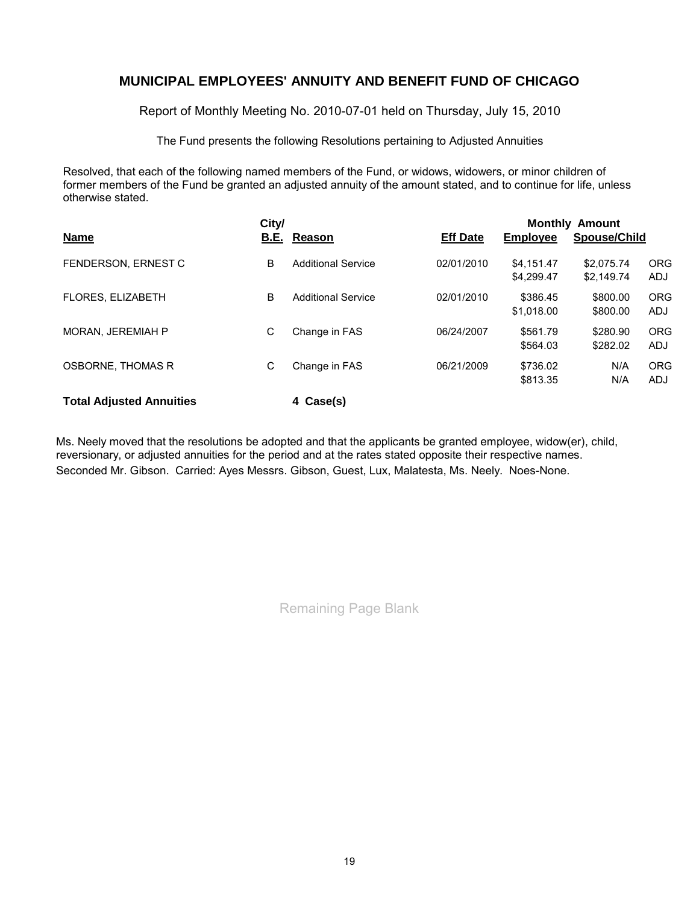Report of Monthly Meeting No. 2010-07-01 held on Thursday, July 15, 2010

The Fund presents the following Resolutions pertaining to Adjusted Annuities

Resolved, that each of the following named members of the Fund, or widows, widowers, or minor children of former members of the Fund be granted an adjusted annuity of the amount stated, and to continue for life, unless otherwise stated.

|                                 |             | <b>Monthly Amount</b>     |                 |            |              |            |  |  |  |
|---------------------------------|-------------|---------------------------|-----------------|------------|--------------|------------|--|--|--|
| <b>Name</b>                     | <b>B.E.</b> | Reason                    | <b>Eff Date</b> | Employee   | Spouse/Child |            |  |  |  |
| FENDERSON, ERNEST C             | B           | <b>Additional Service</b> | 02/01/2010      | \$4.151.47 | \$2.075.74   | <b>ORG</b> |  |  |  |
|                                 |             |                           |                 | \$4.299.47 | \$2.149.74   | ADJ        |  |  |  |
| <b>FLORES, ELIZABETH</b>        | B           | <b>Additional Service</b> | 02/01/2010      | \$386.45   | \$800.00     | <b>ORG</b> |  |  |  |
|                                 |             |                           |                 | \$1.018.00 | \$800.00     | ADJ        |  |  |  |
| <b>MORAN, JEREMIAH P</b>        | С           | Change in FAS             | 06/24/2007      | \$561.79   | \$280.90     | <b>ORG</b> |  |  |  |
|                                 |             |                           |                 | \$564.03   | \$282.02     | ADJ        |  |  |  |
| OSBORNE, THOMAS R               | C           | Change in FAS             | 06/21/2009      | \$736.02   | N/A          | <b>ORG</b> |  |  |  |
|                                 |             |                           |                 | \$813.35   | N/A          | <b>ADJ</b> |  |  |  |
| <b>Total Adjusted Annuities</b> |             | 4 Case(s)                 |                 |            |              |            |  |  |  |

Ms. Neely moved that the resolutions be adopted and that the applicants be granted employee, widow(er), child, reversionary, or adjusted annuities for the period and at the rates stated opposite their respective names. Seconded Mr. Gibson. Carried: Ayes Messrs. Gibson, Guest, Lux, Malatesta, Ms. Neely. Noes-None.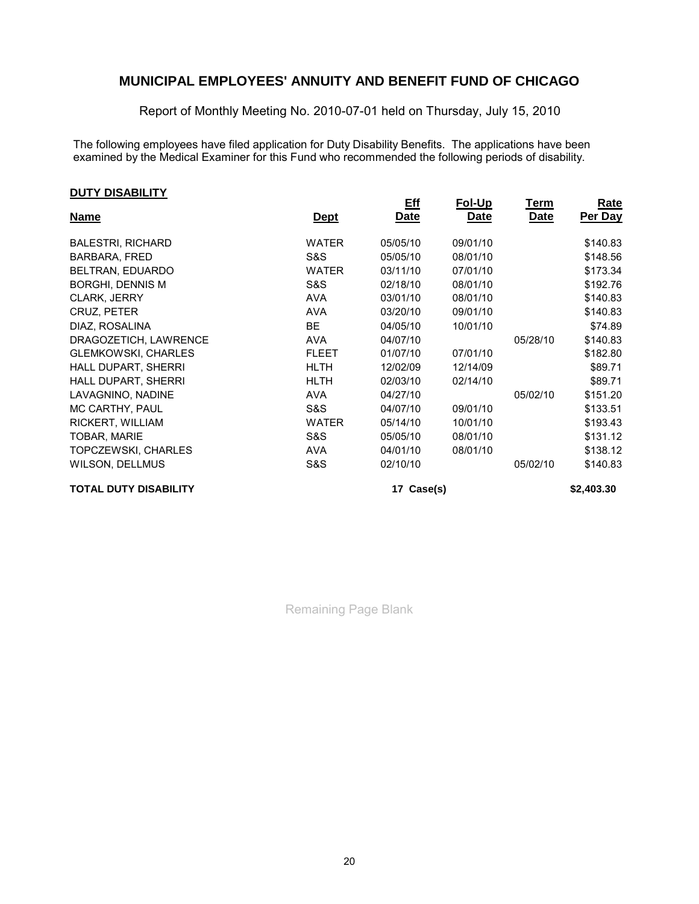Report of Monthly Meeting No. 2010-07-01 held on Thursday, July 15, 2010

**Rate**

The following employees have filed application for Duty Disability Benefits. The applications have been examined by the Medical Examiner for this Fund who recommended the following periods of disability.

| <u>Name</u>                  | <u>Dept</u>  | <u>Eff</u><br>Date | Fol-Up<br>Date | Term<br>Date | Rate<br>Per Day |
|------------------------------|--------------|--------------------|----------------|--------------|-----------------|
| <b>BALESTRI, RICHARD</b>     | <b>WATER</b> | 05/05/10           | 09/01/10       |              | \$140.83        |
| <b>BARBARA, FRED</b>         | S&S          | 05/05/10           | 08/01/10       |              | \$148.56        |
| BELTRAN, EDUARDO             | <b>WATER</b> | 03/11/10           | 07/01/10       |              | \$173.34        |
| <b>BORGHI, DENNIS M</b>      | S&S          | 02/18/10           | 08/01/10       |              | \$192.76        |
| CLARK, JERRY                 | <b>AVA</b>   | 03/01/10           | 08/01/10       |              | \$140.83        |
| CRUZ, PETER                  | <b>AVA</b>   | 03/20/10           | 09/01/10       |              | \$140.83        |
| DIAZ, ROSALINA               | <b>BE</b>    | 04/05/10           | 10/01/10       |              | \$74.89         |
| DRAGOZETICH, LAWRENCE        | <b>AVA</b>   | 04/07/10           |                | 05/28/10     | \$140.83        |
| <b>GLEMKOWSKI, CHARLES</b>   | <b>FLEET</b> | 01/07/10           | 07/01/10       |              | \$182.80        |
| HALL DUPART, SHERRI          | <b>HLTH</b>  | 12/02/09           | 12/14/09       |              | \$89.71         |
| HALL DUPART, SHERRI          | <b>HLTH</b>  | 02/03/10           | 02/14/10       |              | \$89.71         |
| LAVAGNINO, NADINE            | <b>AVA</b>   | 04/27/10           |                | 05/02/10     | \$151.20        |
| MC CARTHY, PAUL              | S&S          | 04/07/10           | 09/01/10       |              | \$133.51        |
| RICKERT, WILLIAM             | <b>WATER</b> | 05/14/10           | 10/01/10       |              | \$193.43        |
| TOBAR, MARIE                 | S&S          | 05/05/10           | 08/01/10       |              | \$131.12        |
| <b>TOPCZEWSKI, CHARLES</b>   | <b>AVA</b>   | 04/01/10           | 08/01/10       |              | \$138.12        |
| WILSON, DELLMUS              | S&S          | 02/10/10           |                | 05/02/10     | \$140.83        |
| <b>TOTAL DUTY DISABILITY</b> |              | 17 Case(s)         |                |              | \$2,403.30      |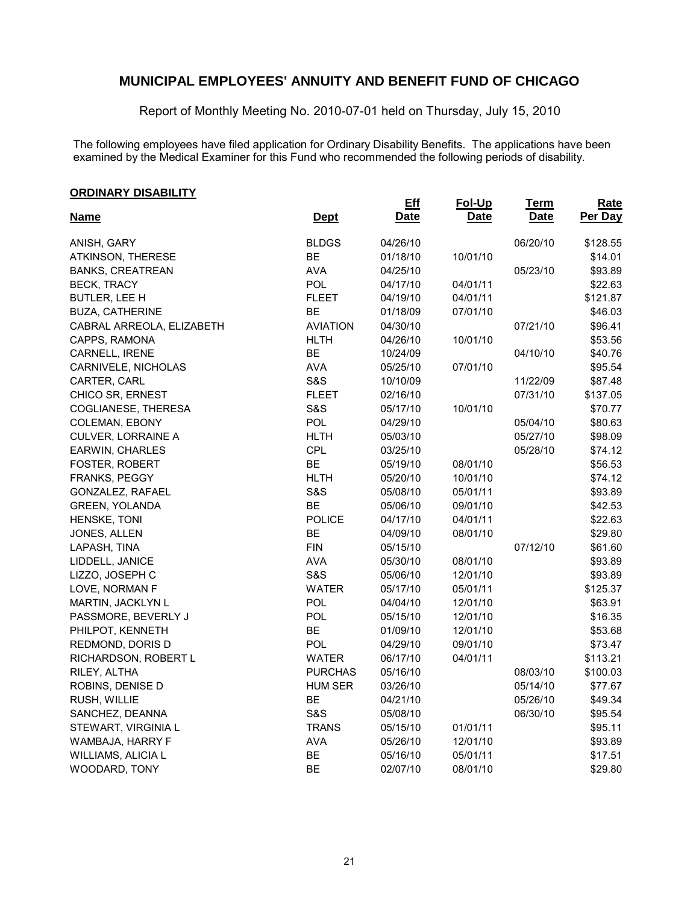Report of Monthly Meeting No. 2010-07-01 held on Thursday, July 15, 2010

The following employees have filed application for Ordinary Disability Benefits. The applications have been examined by the Medical Examiner for this Fund who recommended the following periods of disability.

| <b>ORDINARY DISABILITY</b> |                 |                    |                       |                            |                 |
|----------------------------|-----------------|--------------------|-----------------------|----------------------------|-----------------|
| <b>Name</b>                | <b>Dept</b>     | <b>Eff</b><br>Date | Fol-Up<br><b>Date</b> | <u>Term</u><br><b>Date</b> | Rate<br>Per Day |
| ANISH, GARY                | <b>BLDGS</b>    | 04/26/10           |                       | 06/20/10                   | \$128.55        |
| ATKINSON, THERESE          | BE              | 01/18/10           | 10/01/10              |                            | \$14.01         |
| <b>BANKS, CREATREAN</b>    | <b>AVA</b>      | 04/25/10           |                       | 05/23/10                   | \$93.89         |
| <b>BECK, TRACY</b>         | POL             | 04/17/10           | 04/01/11              |                            | \$22.63         |
| BUTLER, LEE H              | <b>FLEET</b>    | 04/19/10           | 04/01/11              |                            | \$121.87        |
| <b>BUZA, CATHERINE</b>     | BE              | 01/18/09           | 07/01/10              |                            | \$46.03         |
| CABRAL ARREOLA, ELIZABETH  | <b>AVIATION</b> | 04/30/10           |                       | 07/21/10                   | \$96.41         |
| CAPPS, RAMONA              | <b>HLTH</b>     | 04/26/10           | 10/01/10              |                            | \$53.56         |
| CARNELL, IRENE             | BE              | 10/24/09           |                       | 04/10/10                   | \$40.76         |
| CARNIVELE, NICHOLAS        | <b>AVA</b>      | 05/25/10           | 07/01/10              |                            | \$95.54         |
| CARTER, CARL               | <b>S&amp;S</b>  | 10/10/09           |                       | 11/22/09                   | \$87.48         |
| CHICO SR, ERNEST           | <b>FLEET</b>    | 02/16/10           |                       | 07/31/10                   | \$137.05        |
| COGLIANESE, THERESA        | S&S             | 05/17/10           | 10/01/10              |                            | \$70.77         |
| COLEMAN, EBONY             | POL             | 04/29/10           |                       | 05/04/10                   | \$80.63         |
| CULVER, LORRAINE A         | <b>HLTH</b>     | 05/03/10           |                       | 05/27/10                   | \$98.09         |
| <b>EARWIN, CHARLES</b>     | CPL             | 03/25/10           |                       | 05/28/10                   | \$74.12         |
| FOSTER, ROBERT             | <b>BE</b>       | 05/19/10           | 08/01/10              |                            | \$56.53         |
| FRANKS, PEGGY              | <b>HLTH</b>     | 05/20/10           | 10/01/10              |                            | \$74.12         |
| GONZALEZ, RAFAEL           | <b>S&amp;S</b>  | 05/08/10           | 05/01/11              |                            | \$93.89         |
| <b>GREEN, YOLANDA</b>      | <b>BE</b>       | 05/06/10           | 09/01/10              |                            | \$42.53         |
| HENSKE, TONI               | <b>POLICE</b>   | 04/17/10           | 04/01/11              |                            | \$22.63         |
| JONES, ALLEN               | BE              | 04/09/10           | 08/01/10              |                            | \$29.80         |
| LAPASH, TINA               | <b>FIN</b>      | 05/15/10           |                       | 07/12/10                   | \$61.60         |
| LIDDELL, JANICE            | <b>AVA</b>      | 05/30/10           | 08/01/10              |                            | \$93.89         |
| LIZZO, JOSEPH C            | S&S             | 05/06/10           | 12/01/10              |                            | \$93.89         |
| LOVE, NORMAN F             | <b>WATER</b>    | 05/17/10           | 05/01/11              |                            | \$125.37        |
| MARTIN, JACKLYN L          | POL             | 04/04/10           | 12/01/10              |                            | \$63.91         |
| PASSMORE, BEVERLY J        | <b>POL</b>      | 05/15/10           | 12/01/10              |                            | \$16.35         |
| PHILPOT, KENNETH           | <b>BE</b>       | 01/09/10           | 12/01/10              |                            | \$53.68         |
| REDMOND, DORIS D           | <b>POL</b>      | 04/29/10           | 09/01/10              |                            | \$73.47         |
| RICHARDSON, ROBERT L       | <b>WATER</b>    | 06/17/10           | 04/01/11              |                            | \$113.21        |
| RILEY, ALTHA               | <b>PURCHAS</b>  | 05/16/10           |                       | 08/03/10                   | \$100.03        |
| ROBINS, DENISE D           | <b>HUM SER</b>  | 03/26/10           |                       | 05/14/10                   | \$77.67         |
| RUSH, WILLIE               | <b>BE</b>       | 04/21/10           |                       | 05/26/10                   | \$49.34         |
| SANCHEZ, DEANNA            | <b>S&amp;S</b>  | 05/08/10           |                       | 06/30/10                   | \$95.54         |
| STEWART, VIRGINIA L        | <b>TRANS</b>    | 05/15/10           | 01/01/11              |                            | \$95.11         |
| WAMBAJA, HARRY F           | <b>AVA</b>      | 05/26/10           | 12/01/10              |                            | \$93.89         |
| WILLIAMS, ALICIA L         | <b>BE</b>       | 05/16/10           | 05/01/11              |                            | \$17.51         |
| WOODARD, TONY              | <b>BE</b>       | 02/07/10           | 08/01/10              |                            | \$29.80         |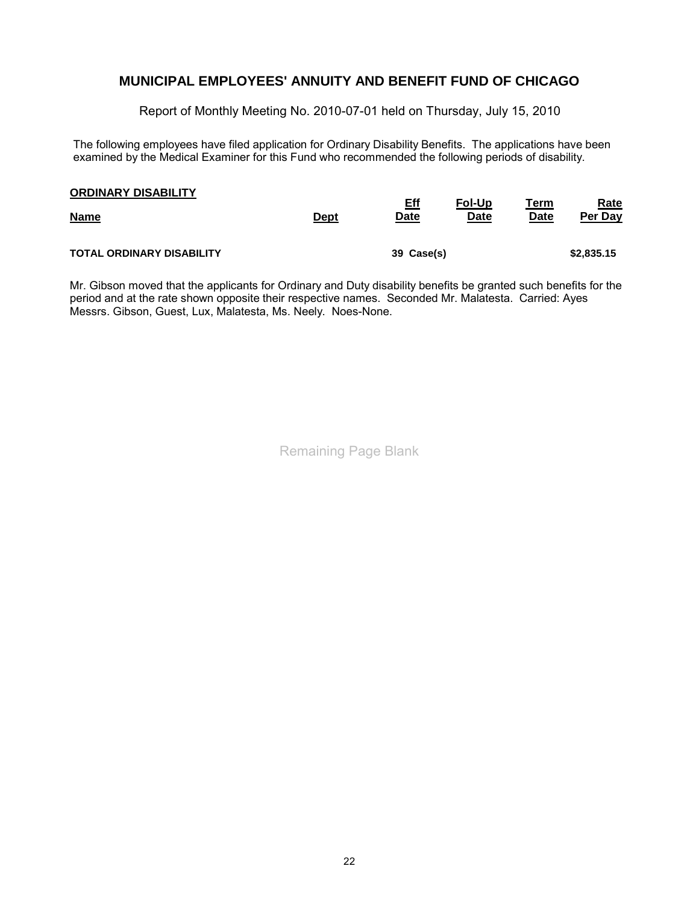Report of Monthly Meeting No. 2010-07-01 held on Thursday, July 15, 2010

The following employees have filed application for Ordinary Disability Benefits. The applications have been examined by the Medical Examiner for this Fund who recommended the following periods of disability.

| <b>ORDINARY DISABILITY</b>       | <u>Dept</u> | <b>Eff</b>  | <u>Fol-Up</u> | <u>Term</u> | <u>Rate</u> |
|----------------------------------|-------------|-------------|---------------|-------------|-------------|
| <b>Name</b>                      |             | <u>Date</u> | <b>Date</b>   | Date        | Per Day     |
| <b>TOTAL ORDINARY DISABILITY</b> |             | 39 Case(s)  |               |             | \$2,835.15  |

Mr. Gibson moved that the applicants for Ordinary and Duty disability benefits be granted such benefits for the period and at the rate shown opposite their respective names. Seconded Mr. Malatesta. Carried: Ayes Messrs. Gibson, Guest, Lux, Malatesta, Ms. Neely. Noes-None.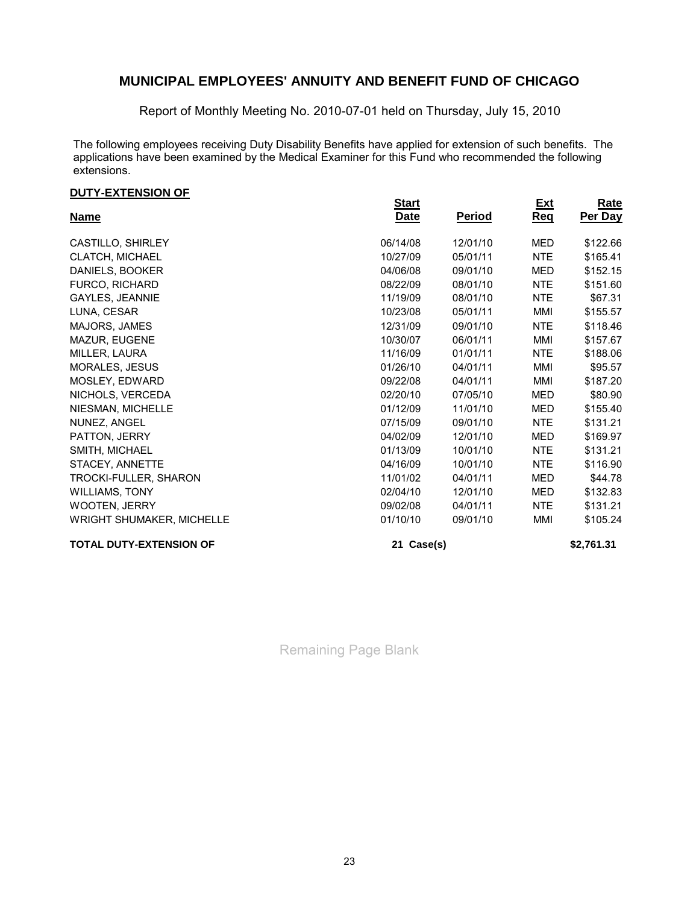Report of Monthly Meeting No. 2010-07-01 held on Thursday, July 15, 2010

The following employees receiving Duty Disability Benefits have applied for extension of such benefits. The applications have been examined by the Medical Examiner for this Fund who recommended the following extensions.

#### **DUTY-EXTENSION OF**

| <u> 2011 - LATLIVIUN VI</u>      | <b>Start</b> |               | <u>Ext</u> | <b>Rate</b> |
|----------------------------------|--------------|---------------|------------|-------------|
| <b>Name</b>                      | Date         | <b>Period</b> | <u>Req</u> | Per Day     |
| CASTILLO, SHIRLEY                | 06/14/08     | 12/01/10      | <b>MED</b> | \$122.66    |
| CLATCH, MICHAEL                  | 10/27/09     | 05/01/11      | <b>NTE</b> | \$165.41    |
| DANIELS, BOOKER                  | 04/06/08     | 09/01/10      | MED        | \$152.15    |
| <b>FURCO, RICHARD</b>            | 08/22/09     | 08/01/10      | <b>NTE</b> | \$151.60    |
| GAYLES, JEANNIE                  | 11/19/09     | 08/01/10      | <b>NTE</b> | \$67.31     |
| LUNA, CESAR                      | 10/23/08     | 05/01/11      | MMI        | \$155.57    |
| MAJORS, JAMES                    | 12/31/09     | 09/01/10      | <b>NTE</b> | \$118.46    |
| MAZUR, EUGENE                    | 10/30/07     | 06/01/11      | MMI        | \$157.67    |
| MILLER, LAURA                    | 11/16/09     | 01/01/11      | <b>NTE</b> | \$188.06    |
| MORALES, JESUS                   | 01/26/10     | 04/01/11      | MMI        | \$95.57     |
| MOSLEY, EDWARD                   | 09/22/08     | 04/01/11      | MMI        | \$187.20    |
| NICHOLS, VERCEDA                 | 02/20/10     | 07/05/10      | <b>MED</b> | \$80.90     |
| NIESMAN, MICHELLE                | 01/12/09     | 11/01/10      | <b>MED</b> | \$155.40    |
| NUNEZ, ANGEL                     | 07/15/09     | 09/01/10      | <b>NTE</b> | \$131.21    |
| PATTON, JERRY                    | 04/02/09     | 12/01/10      | <b>MED</b> | \$169.97    |
| SMITH, MICHAEL                   | 01/13/09     | 10/01/10      | NTE        | \$131.21    |
| STACEY, ANNETTE                  | 04/16/09     | 10/01/10      | NTE.       | \$116.90    |
| TROCKI-FULLER, SHARON            | 11/01/02     | 04/01/11      | MED        | \$44.78     |
| <b>WILLIAMS, TONY</b>            | 02/04/10     | 12/01/10      | MED        | \$132.83    |
| <b>WOOTEN, JERRY</b>             | 09/02/08     | 04/01/11      | <b>NTE</b> | \$131.21    |
| <b>WRIGHT SHUMAKER, MICHELLE</b> | 01/10/10     | 09/01/10      | MMI        | \$105.24    |
| <b>TOTAL DUTY-EXTENSION OF</b>   | 21 Case(s)   |               |            | \$2,761.31  |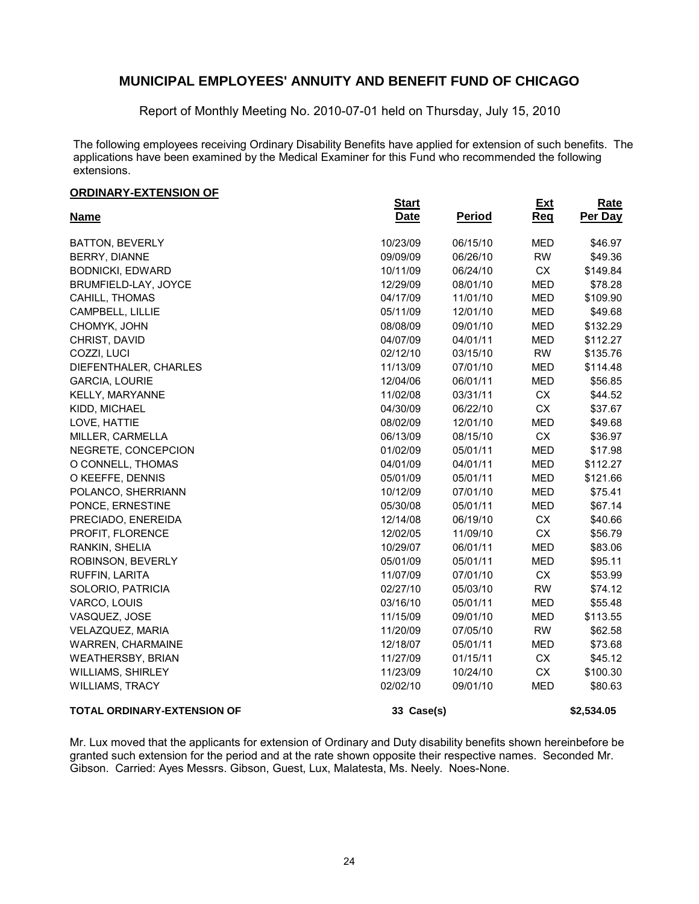Report of Monthly Meeting No. 2010-07-01 held on Thursday, July 15, 2010

The following employees receiving Ordinary Disability Benefits have applied for extension of such benefits. The applications have been examined by the Medical Examiner for this Fund who recommended the following extensions.

#### **ORDINARY-EXTENSION OF**

| <u>SILSIIVIILI EATEIVSIOIL SI</u><br><b>Name</b> | <b>Start</b><br><b>Date</b> | <b>Period</b> | <u>Ext</u><br>Req | <b>Rate</b><br>Per Day |
|--------------------------------------------------|-----------------------------|---------------|-------------------|------------------------|
|                                                  |                             |               |                   |                        |
| <b>BATTON, BEVERLY</b>                           | 10/23/09                    | 06/15/10      | <b>MED</b>        | \$46.97                |
| BERRY, DIANNE                                    | 09/09/09                    | 06/26/10      | <b>RW</b>         | \$49.36                |
| <b>BODNICKI, EDWARD</b>                          | 10/11/09                    | 06/24/10      | CX                | \$149.84               |
| BRUMFIELD-LAY, JOYCE                             | 12/29/09                    | 08/01/10      | <b>MED</b>        | \$78.28                |
| CAHILL, THOMAS                                   | 04/17/09                    | 11/01/10      | <b>MED</b>        | \$109.90               |
| CAMPBELL, LILLIE                                 | 05/11/09                    | 12/01/10      | <b>MED</b>        | \$49.68                |
| CHOMYK, JOHN                                     | 08/08/09                    | 09/01/10      | <b>MED</b>        | \$132.29               |
| CHRIST, DAVID                                    | 04/07/09                    | 04/01/11      | <b>MED</b>        | \$112.27               |
| COZZI, LUCI                                      | 02/12/10                    | 03/15/10      | <b>RW</b>         | \$135.76               |
| DIEFENTHALER, CHARLES                            | 11/13/09                    | 07/01/10      | <b>MED</b>        | \$114.48               |
| <b>GARCIA, LOURIE</b>                            | 12/04/06                    | 06/01/11      | <b>MED</b>        | \$56.85                |
| KELLY, MARYANNE                                  | 11/02/08                    | 03/31/11      | <b>CX</b>         | \$44.52                |
| KIDD, MICHAEL                                    | 04/30/09                    | 06/22/10      | <b>CX</b>         | \$37.67                |
| LOVE, HATTIE                                     | 08/02/09                    | 12/01/10      | <b>MED</b>        | \$49.68                |
| MILLER, CARMELLA                                 | 06/13/09                    | 08/15/10      | <b>CX</b>         | \$36.97                |
| NEGRETE, CONCEPCION                              | 01/02/09                    | 05/01/11      | <b>MED</b>        | \$17.98                |
| O CONNELL, THOMAS                                | 04/01/09                    | 04/01/11      | <b>MED</b>        | \$112.27               |
| O KEEFFE, DENNIS                                 | 05/01/09                    | 05/01/11      | <b>MED</b>        | \$121.66               |
| POLANCO, SHERRIANN                               | 10/12/09                    | 07/01/10      | <b>MED</b>        | \$75.41                |
| PONCE, ERNESTINE                                 | 05/30/08                    | 05/01/11      | <b>MED</b>        | \$67.14                |
| PRECIADO, ENEREIDA                               | 12/14/08                    | 06/19/10      | <b>CX</b>         | \$40.66                |
| PROFIT, FLORENCE                                 | 12/02/05                    | 11/09/10      | CX                | \$56.79                |
| RANKIN, SHELIA                                   | 10/29/07                    | 06/01/11      | <b>MED</b>        | \$83.06                |
| ROBINSON, BEVERLY                                | 05/01/09                    | 05/01/11      | <b>MED</b>        | \$95.11                |
| RUFFIN, LARITA                                   | 11/07/09                    | 07/01/10      | CX                | \$53.99                |
| SOLORIO, PATRICIA                                | 02/27/10                    | 05/03/10      | <b>RW</b>         | \$74.12                |
| VARCO, LOUIS                                     | 03/16/10                    | 05/01/11      | <b>MED</b>        | \$55.48                |
| VASQUEZ, JOSE                                    | 11/15/09                    | 09/01/10      | <b>MED</b>        | \$113.55               |
| VELAZQUEZ, MARIA                                 | 11/20/09                    | 07/05/10      | <b>RW</b>         | \$62.58                |
| <b>WARREN, CHARMAINE</b>                         | 12/18/07                    | 05/01/11      | <b>MED</b>        | \$73.68                |
| <b>WEATHERSBY, BRIAN</b>                         | 11/27/09                    | 01/15/11      | CX                | \$45.12                |
| WILLIAMS, SHIRLEY                                | 11/23/09                    | 10/24/10      | <b>CX</b>         | \$100.30               |
| <b>WILLIAMS, TRACY</b>                           | 02/02/10                    | 09/01/10      | <b>MED</b>        | \$80.63                |
| TOTAL ORDINARY-EXTENSION OF                      | 33 Case(s)                  |               |                   | \$2,534.05             |

Mr. Lux moved that the applicants for extension of Ordinary and Duty disability benefits shown hereinbefore be granted such extension for the period and at the rate shown opposite their respective names. Seconded Mr. Gibson. Carried: Ayes Messrs. Gibson, Guest, Lux, Malatesta, Ms. Neely. Noes-None.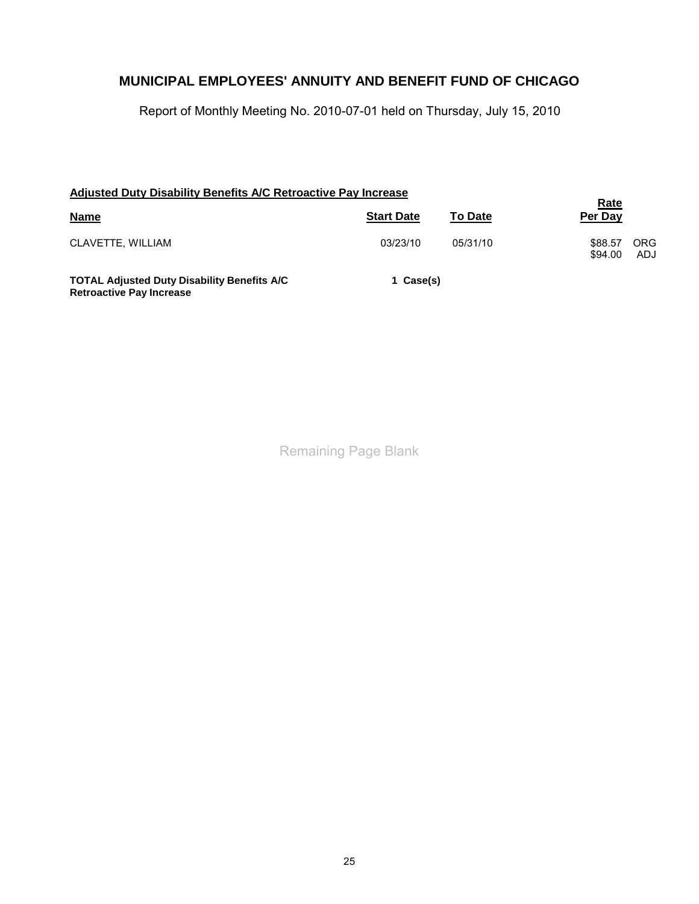Report of Monthly Meeting No. 2010-07-01 held on Thursday, July 15, 2010

| Adjusted Duty Disability Benefits A/C Retroactive Pay Increase                        |                                     |          |                                         |
|---------------------------------------------------------------------------------------|-------------------------------------|----------|-----------------------------------------|
| <b>Name</b>                                                                           | <b>Start Date</b><br><b>To Date</b> |          | <u>Rate</u><br>Per Day                  |
| CLAVETTE, WILLIAM                                                                     | 03/23/10                            | 05/31/10 | <b>ORG</b><br>\$88.57<br>ADJ<br>\$94.00 |
| <b>TOTAL Adjusted Duty Disability Benefits A/C</b><br><b>Retroactive Pay Increase</b> | 1 Case(s)                           |          |                                         |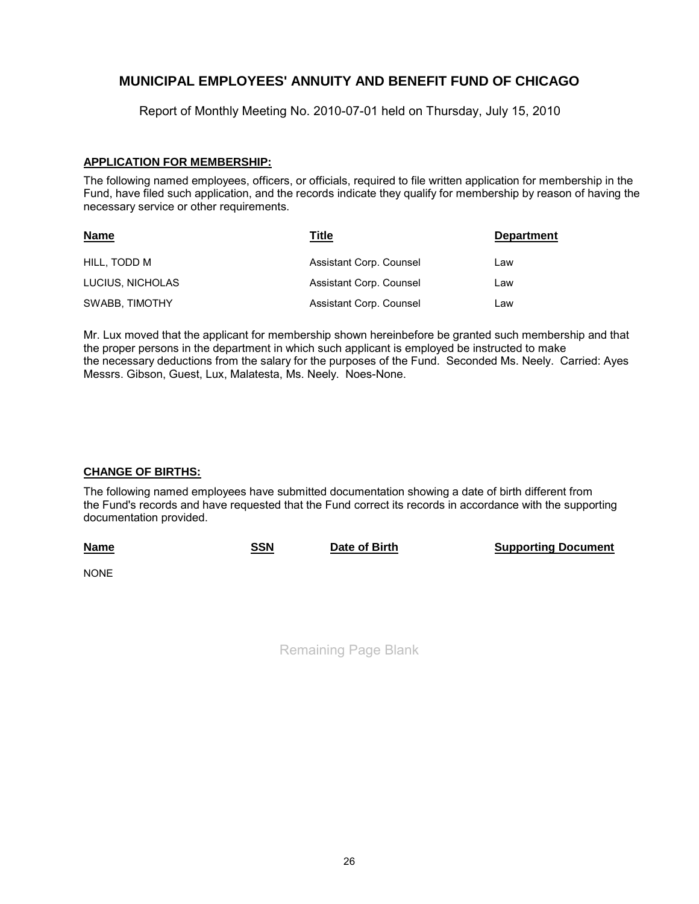Report of Monthly Meeting No. 2010-07-01 held on Thursday, July 15, 2010

### **APPLICATION FOR MEMBERSHIP:**

The following named employees, officers, or officials, required to file written application for membership in the Fund, have filed such application, and the records indicate they qualify for membership by reason of having the necessary service or other requirements.

| <u>Name</u>           | Title                   | <b>Department</b> |
|-----------------------|-------------------------|-------------------|
| HILL. TODD M          | Assistant Corp. Counsel | Law               |
| LUCIUS, NICHOLAS      | Assistant Corp. Counsel | Law               |
| <b>SWABB, TIMOTHY</b> | Assistant Corp. Counsel | Law               |

Mr. Lux moved that the applicant for membership shown hereinbefore be granted such membership and that the proper persons in the department in which such applicant is employed be instructed to make the necessary deductions from the salary for the purposes of the Fund. Seconded Ms. Neely. Carried: Ayes Messrs. Gibson, Guest, Lux, Malatesta, Ms. Neely. Noes-None.

### **CHANGE OF BIRTHS:**

The following named employees have submitted documentation showing a date of birth different from the Fund's records and have requested that the Fund correct its records in accordance with the supporting documentation provided.

| <b>Name</b> | SSN | Date of Birth | <b>Supporting Document</b> |
|-------------|-----|---------------|----------------------------|
|-------------|-----|---------------|----------------------------|

NONE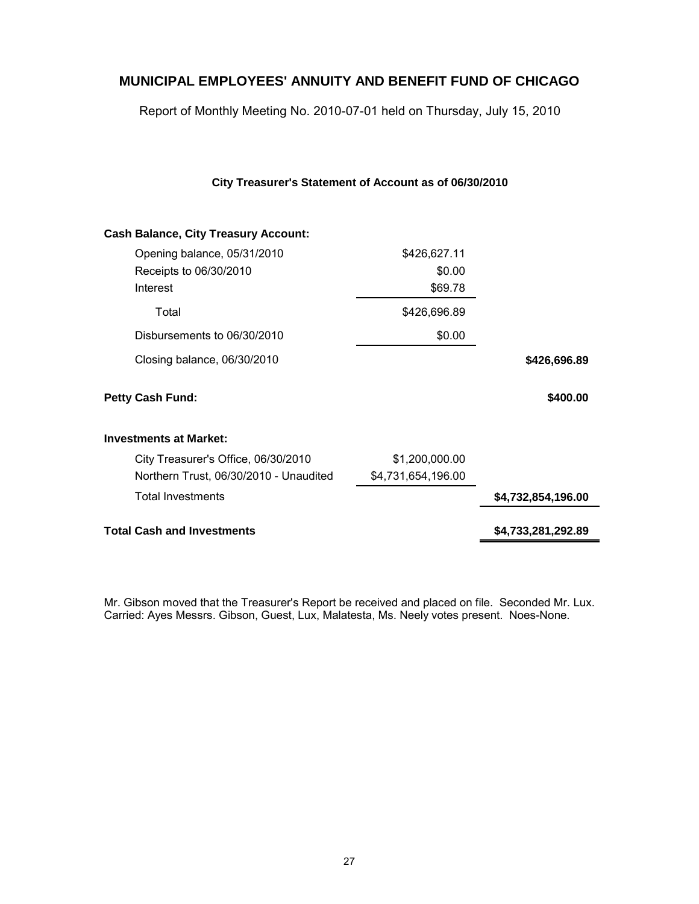Report of Monthly Meeting No. 2010-07-01 held on Thursday, July 15, 2010

| <b>Cash Balance, City Treasury Account:</b> |                    |                    |
|---------------------------------------------|--------------------|--------------------|
| Opening balance, 05/31/2010                 | \$426,627.11       |                    |
| Receipts to 06/30/2010                      | \$0.00             |                    |
| Interest                                    | \$69.78            |                    |
| Total                                       | \$426,696.89       |                    |
| Disbursements to 06/30/2010                 | \$0.00             |                    |
| Closing balance, 06/30/2010                 |                    | \$426,696.89       |
| <b>Petty Cash Fund:</b>                     |                    | \$400.00           |
| <b>Investments at Market:</b>               |                    |                    |
| City Treasurer's Office, 06/30/2010         | \$1,200,000.00     |                    |
| Northern Trust, 06/30/2010 - Unaudited      | \$4,731,654,196.00 |                    |
| <b>Total Investments</b>                    |                    | \$4,732,854,196.00 |
| <b>Total Cash and Investments</b>           |                    | \$4,733,281,292.89 |
|                                             |                    |                    |

Mr. Gibson moved that the Treasurer's Report be received and placed on file. Seconded Mr. Lux. Carried: Ayes Messrs. Gibson, Guest, Lux, Malatesta, Ms. Neely votes present. Noes-None.

### **City Treasurer's Statement of Account as of 06/30/2010**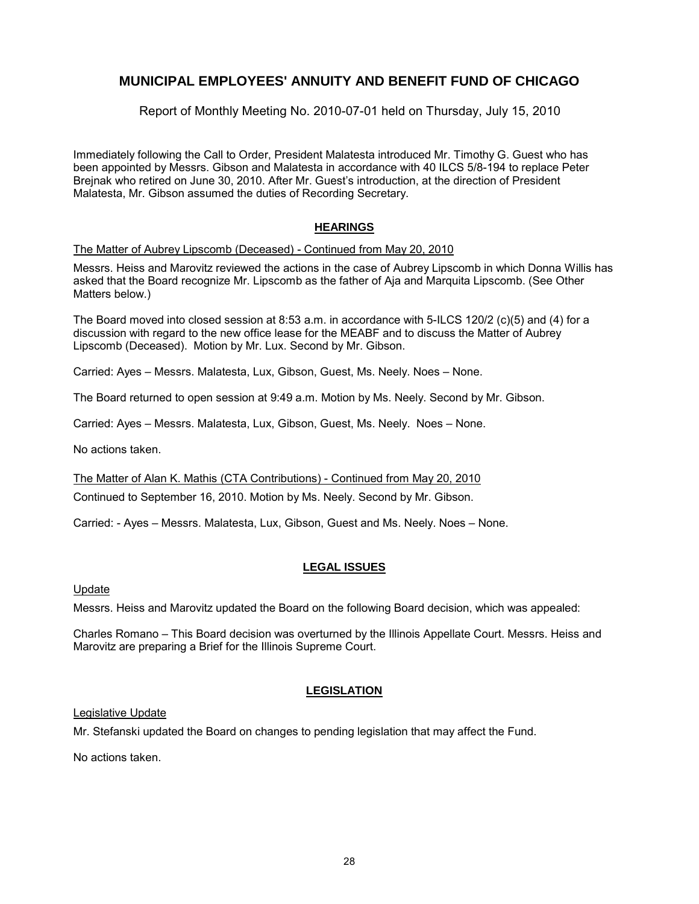Report of Monthly Meeting No. 2010-07-01 held on Thursday, July 15, 2010

Immediately following the Call to Order, President Malatesta introduced Mr. Timothy G. Guest who has been appointed by Messrs. Gibson and Malatesta in accordance with 40 ILCS 5/8-194 to replace Peter Brejnak who retired on June 30, 2010. After Mr. Guest's introduction, at the direction of President Malatesta, Mr. Gibson assumed the duties of Recording Secretary.

#### **HEARINGS**

The Matter of Aubrey Lipscomb (Deceased) - Continued from May 20, 2010

Messrs. Heiss and Marovitz reviewed the actions in the case of Aubrey Lipscomb in which Donna Willis has asked that the Board recognize Mr. Lipscomb as the father of Aja and Marquita Lipscomb. (See Other Matters below.)

The Board moved into closed session at 8:53 a.m. in accordance with 5-ILCS 120/2 (c)(5) and (4) for a discussion with regard to the new office lease for the MEABF and to discuss the Matter of Aubrey Lipscomb (Deceased). Motion by Mr. Lux. Second by Mr. Gibson.

Carried: Ayes – Messrs. Malatesta, Lux, Gibson, Guest, Ms. Neely. Noes – None.

The Board returned to open session at 9:49 a.m. Motion by Ms. Neely. Second by Mr. Gibson.

Carried: Ayes – Messrs. Malatesta, Lux, Gibson, Guest, Ms. Neely. Noes – None.

No actions taken.

The Matter of Alan K. Mathis (CTA Contributions) - Continued from May 20, 2010

Continued to September 16, 2010. Motion by Ms. Neely. Second by Mr. Gibson.

Carried: - Ayes – Messrs. Malatesta, Lux, Gibson, Guest and Ms. Neely. Noes – None.

#### **LEGAL ISSUES**

Update

Messrs. Heiss and Marovitz updated the Board on the following Board decision, which was appealed:

Charles Romano – This Board decision was overturned by the Illinois Appellate Court. Messrs. Heiss and Marovitz are preparing a Brief for the Illinois Supreme Court.

### **LEGISLATION**

Legislative Update

Mr. Stefanski updated the Board on changes to pending legislation that may affect the Fund.

No actions taken.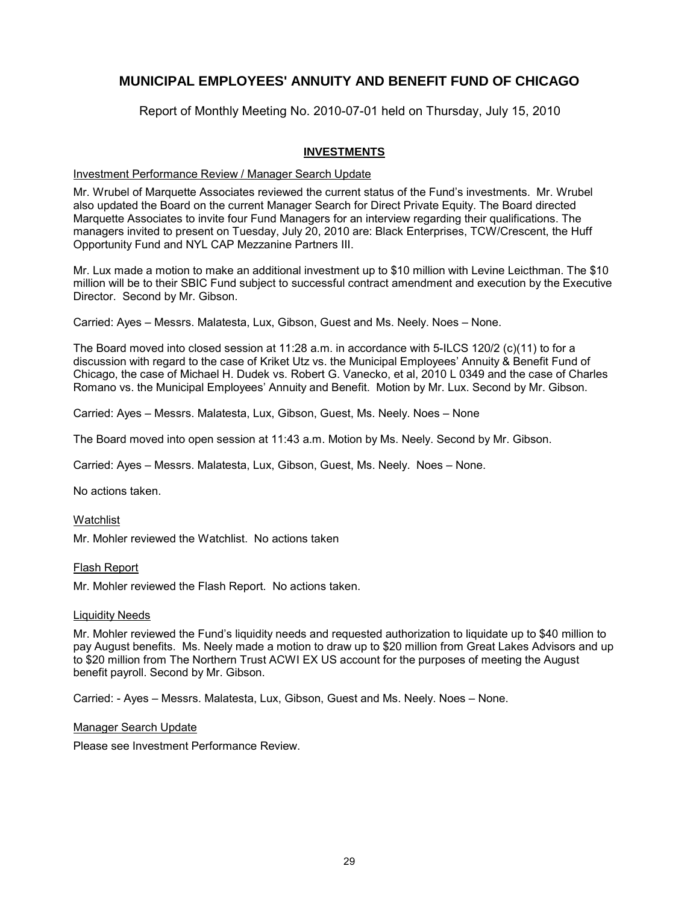Report of Monthly Meeting No. 2010-07-01 held on Thursday, July 15, 2010

### **INVESTMENTS**

#### Investment Performance Review / Manager Search Update

Mr. Wrubel of Marquette Associates reviewed the current status of the Fund's investments. Mr. Wrubel also updated the Board on the current Manager Search for Direct Private Equity. The Board directed Marquette Associates to invite four Fund Managers for an interview regarding their qualifications. The managers invited to present on Tuesday, July 20, 2010 are: Black Enterprises, TCW/Crescent, the Huff Opportunity Fund and NYL CAP Mezzanine Partners III.

Mr. Lux made a motion to make an additional investment up to \$10 million with Levine Leicthman. The \$10 million will be to their SBIC Fund subject to successful contract amendment and execution by the Executive Director. Second by Mr. Gibson.

Carried: Ayes – Messrs. Malatesta, Lux, Gibson, Guest and Ms. Neely. Noes – None.

The Board moved into closed session at 11:28 a.m. in accordance with 5-ILCS 120/2 (c)(11) to for a discussion with regard to the case of Kriket Utz vs. the Municipal Employees' Annuity & Benefit Fund of Chicago, the case of Michael H. Dudek vs. Robert G. Vanecko, et al, 2010 L 0349 and the case of Charles Romano vs. the Municipal Employees' Annuity and Benefit. Motion by Mr. Lux. Second by Mr. Gibson.

Carried: Ayes – Messrs. Malatesta, Lux, Gibson, Guest, Ms. Neely. Noes – None

The Board moved into open session at 11:43 a.m. Motion by Ms. Neely. Second by Mr. Gibson.

Carried: Ayes – Messrs. Malatesta, Lux, Gibson, Guest, Ms. Neely. Noes – None.

No actions taken.

**Watchlist** 

Mr. Mohler reviewed the Watchlist. No actions taken

Flash Report

Mr. Mohler reviewed the Flash Report. No actions taken.

#### Liquidity Needs

Mr. Mohler reviewed the Fund's liquidity needs and requested authorization to liquidate up to \$40 million to pay August benefits. Ms. Neely made a motion to draw up to \$20 million from Great Lakes Advisors and up to \$20 million from The Northern Trust ACWI EX US account for the purposes of meeting the August benefit payroll. Second by Mr. Gibson.

Carried: - Ayes – Messrs. Malatesta, Lux, Gibson, Guest and Ms. Neely. Noes – None.

Manager Search Update

Please see Investment Performance Review.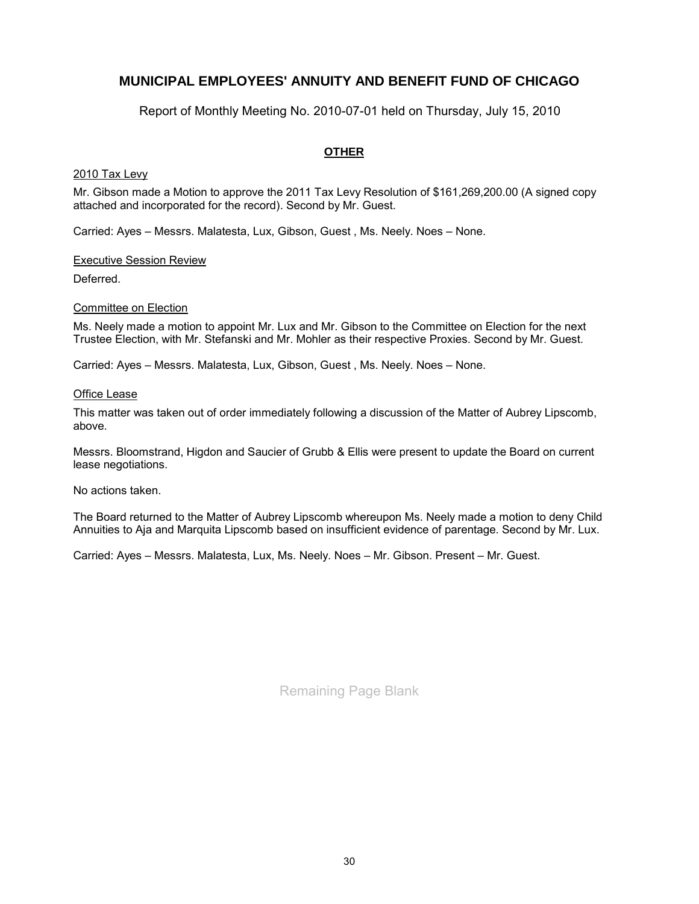Report of Monthly Meeting No. 2010-07-01 held on Thursday, July 15, 2010

### **OTHER**

#### 2010 Tax Levy

Mr. Gibson made a Motion to approve the 2011 Tax Levy Resolution of \$161,269,200.00 (A signed copy attached and incorporated for the record). Second by Mr. Guest.

Carried: Ayes – Messrs. Malatesta, Lux, Gibson, Guest , Ms. Neely. Noes – None.

#### Executive Session Review

Deferred.

#### Committee on Election

Ms. Neely made a motion to appoint Mr. Lux and Mr. Gibson to the Committee on Election for the next Trustee Election, with Mr. Stefanski and Mr. Mohler as their respective Proxies. Second by Mr. Guest.

Carried: Ayes – Messrs. Malatesta, Lux, Gibson, Guest , Ms. Neely. Noes – None.

#### Office Lease

This matter was taken out of order immediately following a discussion of the Matter of Aubrey Lipscomb, above.

Messrs. Bloomstrand, Higdon and Saucier of Grubb & Ellis were present to update the Board on current lease negotiations.

No actions taken.

The Board returned to the Matter of Aubrey Lipscomb whereupon Ms. Neely made a motion to deny Child Annuities to Aja and Marquita Lipscomb based on insufficient evidence of parentage. Second by Mr. Lux.

Carried: Ayes – Messrs. Malatesta, Lux, Ms. Neely. Noes – Mr. Gibson. Present – Mr. Guest.